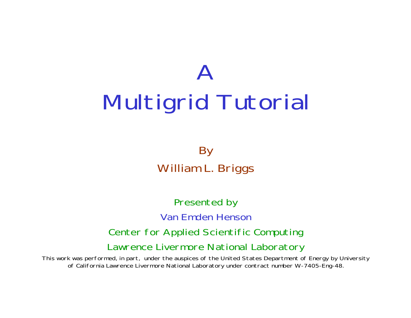# $\bm{\mathsf{A}}$ Multigrid Tutorial

By William L. Briggs

Presented by Van Emden HensonCenter for Applied Scientific Computing Lawrence Livermore National Laboratory

This work was performed, in part, under the auspices of the United States Department of Energy by University of California Lawrence Livermore National Laboratory under contract number W-7405-Eng-48.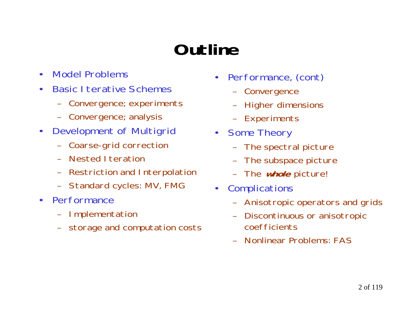# **Outline**

- •Model Problems
- $\bullet$ Basic I terative Schemes
	- –Convergence; experiments
	- –Convergence; analysis
- $\bullet$  Development of Multigrid
	- –Coarse-grid correction
	- –Nested Iteration
	- –Restriction and Interpolation
	- –Standard cycles: MV, FMG
- $\bullet$ **Performance** 
	- –Implementation
	- storage and computation costs
- • Performance, (cont)
	- –Convergence
	- Higher dimensions
	- Experiments
- • Some Theory
	- The spectral picture
	- –The subspace picture
	- –The **whole** picture!
- $\bullet$ **Complications** 
	- –Anisotropic operators and grids
	- – Discontinuous or anisotropic coefficients
	- –Nonlinear Problems: FAS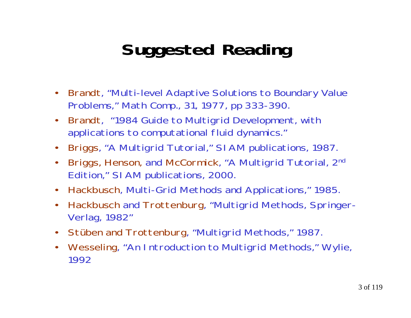# **Suggested Reading**

- $\bullet$  Brandt, "Multi-level Adaptive Solutions to Boundary Value Problems," Math Comp., 31, 1977, pp 333-390.
- $\bullet$  Brandt, "1984 Guide to Multigrid Development, with applications to computational fluid dynamics."
- •Briggs, "A Multigrid Tutorial," SIAM publications, 1987.
- •Briggs, Henson, and McCormick, "A Multigrid Tutorial, 2<sup>nd</sup> Edition," SIAM publications, 2000.
- $\bullet$ Hackbusch, Multi-Grid Methods and Applications," 1985.
- • Hackbusch and Trottenburg, "Multigrid Methods, Springer-Verlag, 1982"
- $\bullet$ Stüben and Trottenburg, "Multigrid Methods," 1987.
- • Wesseling, "An Introduction to Multigrid Methods," Wylie, 1992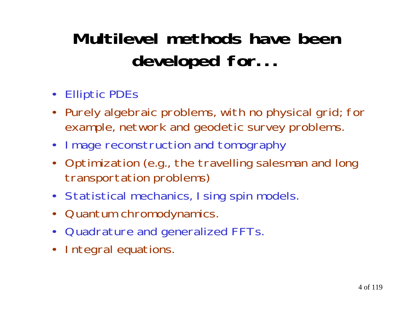# **Multilevel methods have beendeveloped for...**

- Elliptic PDEs
- Purely algebraic problems, with no physical grid; for example, network and geodetic survey problems.
- •Image reconstruction and tomography
- Optimization (e.g., the travelling salesman and long transportation problems)
- Statistical mechanics, Ising spin models.
- $\bullet$ Quantum chromodynamics.
- $\bullet$ Quadrature and generalized FFTs.
- •Integral equations.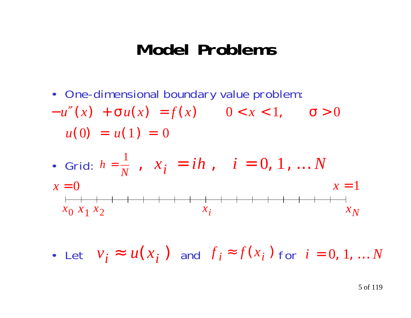#### **Model Problems**

- One-dimensional boundary value problem:
- − *u* ″ $f'(x) + \sigma u(x) = f(x)$  0 < *x* < 1,  $\sigma > 0$  $u(0) = u(1) = 0$
- Grid:  $h=\frac{\ }{N}$ *h* =  $\frac{1}{\mathrm{v}}$  ,  $x_i$  $=$   $i h$  ,  $i$  $= 0, 1, ... N$  $x=0$ *x*=1

*x*0*x*1*x*2*xi <sup>x</sup> N*

• Let  $V_i \approx u(x_i)$  and  $\overline{I}_i \approx \overline{I}(x_i)$  for  $i = u(x_i)$  and  $f_i = f(x_i)$  $\approx f(x_i)$  for  $i=0,1,...N$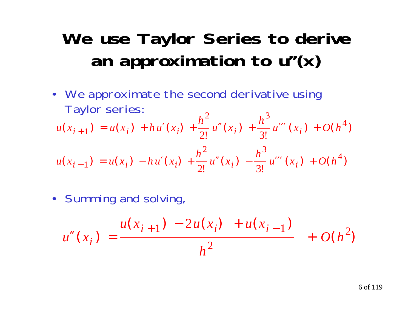# **We use Taylor Series to derive an approximation to u''(x)**

• We approximate the second derivative using Taylor series:  $\Delta$  $\Omega$ 

$$
u(x_{i+1}) = u(x_i) + hu'(x_i) + \frac{h^2}{2!}u''(x_i) + \frac{h^3}{3!}u'''(x_i) + O(h^4)
$$
  

$$
u(x_{i-1}) = u(x_i) - hu'(x_i) + \frac{h^2}{2!}u''(x_i) - \frac{h^3}{3!}u'''(x_i) + O(h^4)
$$

• Summing and solving,

$$
u''(x_i) = \frac{u(x_{i+1}) - 2u(x_i) + u(x_{i-1})}{h^2} + O(h^2)
$$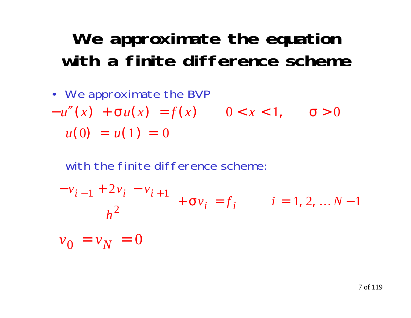# **We approximate the equation with a finite difference scheme**

• We approximate the BVP − *u* ″ $f'(x) + \sigma u(x) = f(x)$  0 < *x* < 1,  $\sigma > 0$  $u(0) = u(1) = 0$ 

with the finite difference scheme:

$$
\frac{-v_{i-1} + 2v_i - v_{i+1}}{h^2} + \sigma v_i = f_i \qquad i = 1, 2, \dots N-1
$$
  

$$
v_0 = v_N = 0
$$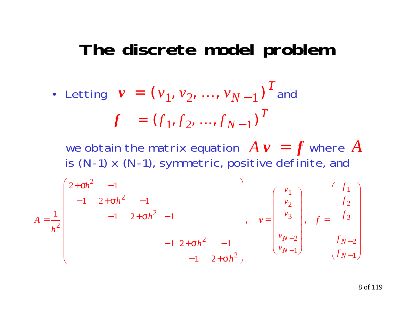#### **The discrete model problem**

• Letting 
$$
\mathbf{v} = (v_1, v_2, ..., v_{N-1})^T
$$
 and  

$$
\mathbf{f} = (f_1, f_2, ..., f_{N-1})^T
$$

we obtain the matrix equation  $A$   $\boldsymbol{v}$   $=$   $\boldsymbol{f}$  where  $A$ is (N-1) x (N-1), symmetric, positive definite, and

$$
A = \frac{1}{h^2} \begin{bmatrix} 2 + \sigma h^2 & -1 \\ -1 & 2 + \sigma h^2 & -1 \\ & -1 & 2 + \sigma h^2 & -1 \\ & & -1 & 2 + \sigma h^2 & -1 \\ & & & -1 & 2 + \sigma h^2 \end{bmatrix}, \quad v = \begin{bmatrix} v_1 \\ v_2 \\ v_3 \\ v_{N-2} \\ v_{N-1} \end{bmatrix}, \quad f = \begin{bmatrix} f_1 \\ f_2 \\ f_3 \\ f_{N-2} \\ f_{N-1} \end{bmatrix}
$$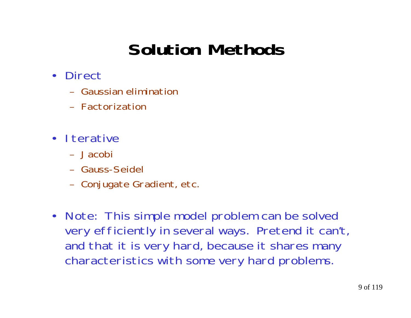# **Solution Methods**

- $\bullet$ **Direct** 
	- Gaussian elimination
	- Factorization
- Iterative
	- Jacobi
	- Gauss-Seidel
	- –Conjugate Gradient, etc.
- • Note: This simple model problem can be solved very efficiently in several ways. Pretend it can't, and that it is very hard, because it shares many characteristics with some very hard problems.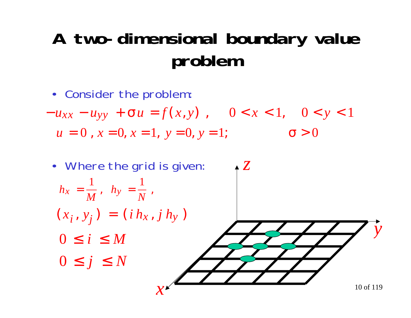# **A two-dimensional boundary value problem**

• Consider the problem:

$$
-u_{xx} - u_{yy} + \sigma u = f(x, y), \quad 0 < x < 1, \quad 0 < y < 1
$$
\n
$$
u = 0, \, x = 0, \, x = 1, \, y = 0, \, y = 1; \quad \sigma > 0
$$

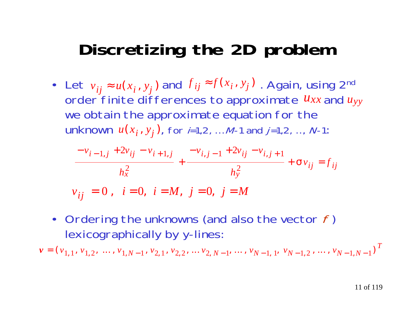### **Discretizing the 2D problem**

• Let  $v_{ii} \approx u(x_i, y_i)$  and  $f_{ij} \approx f(x_i, y_j)$ . Again, using 2<sup>nd</sup> order finite differences to approximate  $u_{xx}$  and  $u_{yy}$ we obtain the approximate equation for the  $u(x_i, y_j)$ , for *i*=1,2, … M-1 and *j*=1,2, …, N-1:  $y_{ij} \approx u(x_i, y_j)$  and  $f_{ij} \approx f(x_j)$  $y_j \approx f(x_j, y_j)$ 

$$
\frac{-v_{i-1,j} + 2v_{ij} - v_{i+1,j}}{h_x^2} + \frac{-v_{i,j-1} + 2v_{ij} - v_{i,j+1}}{h_y^2} + \sigma v_{ij} = f_{ij}
$$

$$
v_{ij} = 0
$$
,  $i = 0$ ,  $i = M$ ,  $j = 0$ ,  $j = M$ 

• Ordering the unknowns (and also the vector  $f$ ) lexicographically by y-lines:

 $v = (v_{1,1}, v_{1,2}, \dots, v_{1,N-1}, v_{2,1}, v_{2,2}, \dots v_{2,N-1}, \dots, v_{N-1,1}, v_{N-1,2}, \dots, v_{N-1,N-1})^T$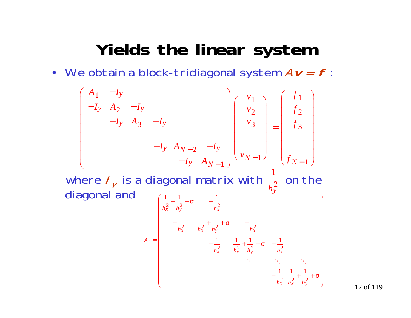#### **Yields the linear system**

• We obtain a block-tridiagonal system A**v = f** :

$$
\begin{pmatrix}\nA_1 & -I_y & & & & & & & \\
-I_y & A_2 & -I_y & & & & & & \\
& -I_y & A_3 & -I_y & & & & \\
& & -I_y & A_{N-2} & -I_y & \\
& & & & -I_y & A_{N-1}\n\end{pmatrix}\n\begin{pmatrix}\nv_1 \\
v_2 \\
v_3 \\
v_{N-1}\n\end{pmatrix} = \begin{pmatrix}\nf_1 \\
f_2 \\
f_3 \\
f_{N-1}\n\end{pmatrix}
$$

 where  $I_{y}$  is a diagonal matrix with  $\frac{1}{h^{2}}$  on the diagonal and *h y* 2  $\left(\frac{1}{-}+\frac{1}{-}+\sigma\right)$   $-\frac{1}{-}$ 

$$
A_{i} = \begin{bmatrix} \frac{1}{h_{x}^{2}} + \frac{1}{h_{y}^{2}} + \sigma & -\frac{1}{h_{x}^{2}} \\ -\frac{1}{h_{x}^{2}} & \frac{1}{h_{x}^{2}} + \frac{1}{h_{y}^{2}} + \sigma & -\frac{1}{h_{x}^{2}} \\ -\frac{1}{h_{x}^{2}} & \frac{1}{h_{x}^{2}} + \frac{1}{h_{y}^{2}} + \sigma & -\frac{1}{h_{x}^{2}} \\ \vdots & \vdots & \ddots & \vdots \\ -\frac{1}{h_{x}^{2}} & \frac{1}{h_{x}^{2}} + \frac{1}{h_{y}^{2}} + \sigma \\ \end{bmatrix}
$$

12 of 119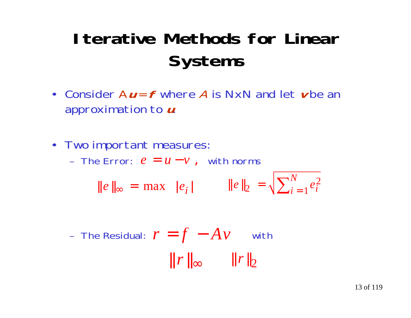# **Iterative Methods for LinearSystems**

- Consider A**u** <sup>=</sup>**f** where A is NxN and let **v** be anapproximation to **u**.
- Two important measures:

 $-$  The Error:  $e = u - v$ , with norms

|| *<sup>e</sup>* || ∞  $=$  max  $|e_i|$   $\|e\|_2 = \sqrt{\sum_{i=1}^{n} e_i}$  $e_2 = \sqrt{\sum_{i=1}^{N} e_i^2}$ *N*  $i =$ 

- The Residual: 
$$
r = f - Av
$$
 with

\n $\|r\|_{\infty} \quad \|r\|_{2}$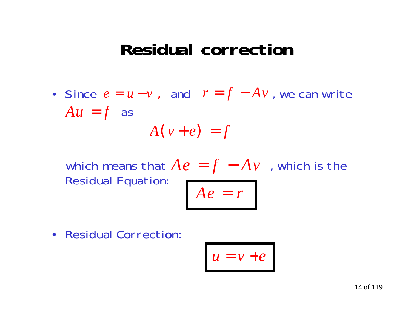#### **Residual correction**

• Since  $e = u - v$ , and  $r = f - Av$ , we can write  $Au = f$  as − $-Av$  $A(v+e)$ = *f*

which means that  $Ae = f - A v$  , which is the Residual Equation: − $-Av$  $Ae = r$ 

Residual Correction:

•

$$
u=v+e
$$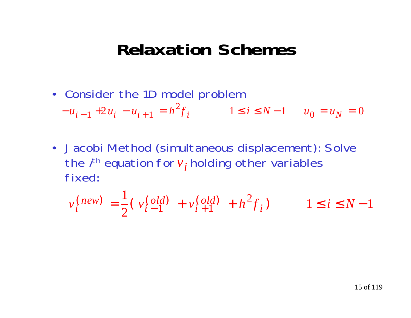#### **Relaxation Schemes**

- Consider the 1D model problem  $-u_{i-1} + 2u_i - u_{i+1} = h^2 f_i$   $1 \le i \le N-1$   $u_0 = u_N =$  $1 + 2u_i - u_{i+1} = h^2 f_i$   $1 \le i \le N-1$   $u_0 = u_N = 0$
- Jacobi Method (simultaneous displacement): Solve the  $i^{\text{th}}$  equation for  $v_{\boldsymbol{i}}$  holding other variables fixed:

$$
v_i^{(new)} = \frac{1}{2} (v_i^{\text{(old)}} + v_{i+1}^{\text{(old)}} + h^2 f_i) \qquad 1 \le i \le N - 1
$$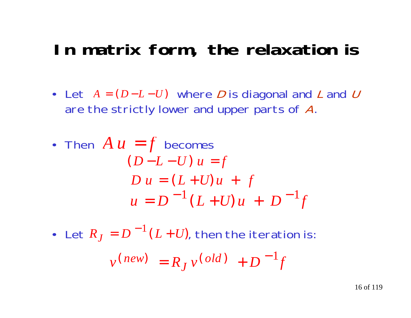### **In matrix form, the relaxation is**

- Let *A* = (*D*−*L*−*U*) where *D* is diagonal and *L* and *U* are the strictly lower and upper parts of A.
- Then  $A u = f$  becomes  $D u = (L + U) u + f$  $u = D^{-1}(L+U)u + D^{-1}f$  $(D-L-U)$   $u = f$
- Let  $R_J = D^{-1}(L+U)$ , then the iteration is:

 $v^{(new)} = R_J v^{(old)} + D^{-1}f$  $n^{(e)} = R_I v^{(o)} +$ 1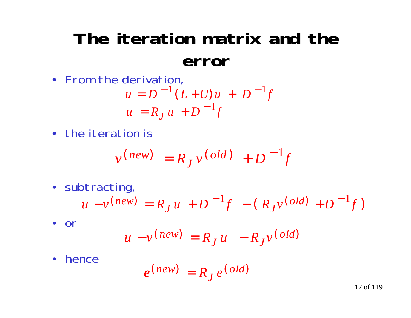### **The iteration matrix and theerror**

• From the derivation,

$$
u = D^{-1} (L + U) u + D^{-1} f
$$
  

$$
u = R_J u + D^{-1} f
$$

• the iteration is

$$
v^{(new)} = R_J v^{(old)} + D^{-1}f
$$

• subtracting,

$$
u - v^{(new)} = R_J u + D^{-1} f - (R_J v^{(old)} + D^{-1} f)
$$

• or

$$
u - v^{(new)} = R_J u - R_J v^{(old)}
$$

•hence

$$
e^{(new)} = R_J e^{(old)}
$$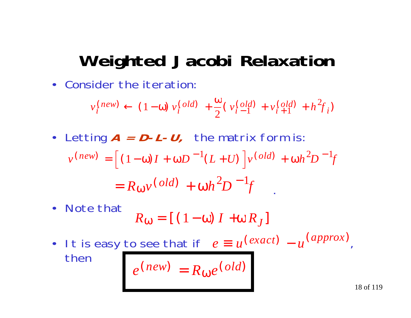### **Weighted Jacobi Relaxation**

• Consider the iteration:

$$
v_i^{(new)} \leftarrow (1-\omega) v_i^{(old)} + \frac{\omega}{2} (v_{i-1}^{(old)} + v_{i+1}^{(old)} + h^2 f_i)
$$

• Letting **A = D-L-U,** the matrix form is:

$$
v^{(new)} = [(1 - \omega)I + \omega D^{-1}(L+U)]v^{(old)} + \omega h^{2}D^{-1}f
$$
  
=  $R_{\omega}v$ (old) +  $\omega h^{2}D^{-1}f$ 

- $\bullet$  Note that*R* ω  $= \left[\; (\; 1 - \omega) \; I \; + \omega \, R \, J \right]$
- It is easy to see that if  $e \equiv u^{(exact)} u^{(approx)}$ then $\left(\text{exact}\right) = \mu\left(\text{approx}\right)$  $e^{(new)} = R_0 e^{(old)}$  $(\textit{new}) = R_{\omega}e(\textit{old})$

ω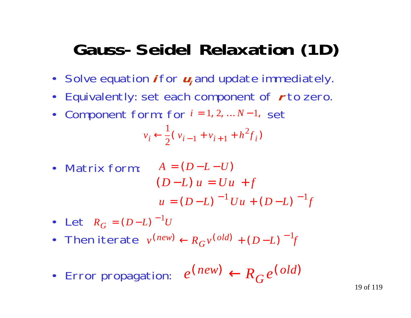### **Gauss-Seidel Relaxation (1D)**

- Solve equation *i* for  $u_i$  and update immediately.
- Equivalently: set each component of **r** to zero.
- Component form: for  $i = 1, 2, ... N 1$ , set

$$
v_i \leftarrow \frac{1}{2} (v_{i-1} + v_{i+1} + h^2 f_i)
$$

• Matrix form: 
$$
A = (D - L - U)
$$
  
\n $(D - L) u = Uu + f$   
\n $u = (D - L)^{-1}Uu + (D - L)^{-1}f$ 

• Let 
$$
R_G = (D - L)^{-1}U
$$

- Then iterate  $v^{(new)} \leftarrow R_G v^{(old)} + (D L)^{-1} f$  $e^{in(w)} \leftarrow R_G v^{(old)} + (D-L)^{-1}$
- Error propagation:  $e^{(\textit{new})} \leftarrow R_G e^{(\textit{old})}$ *Gnew*) ←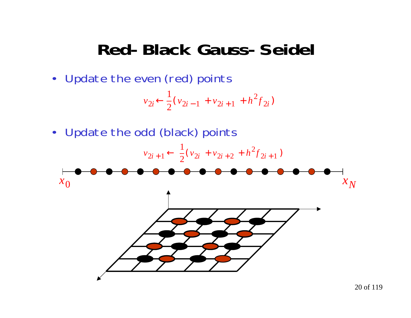#### **Red-Black Gauss-Seidel**

• Update the even (red) points

$$
v_{2i} \leftarrow \frac{1}{2} (v_{2i-1} + v_{2i+1} + h^2 f_{2i})
$$

• Update the odd (black) points

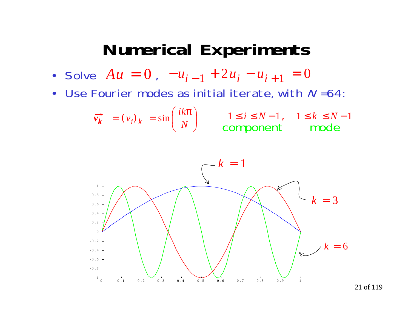#### **Numerical Experiments**

• Solve  $Au = 0$  ,  $-u_{i-1} + 2u_i - u_{i+1} = 0$ 

•Use Fourier modes as initial iterate, with  $N = 64$ :

$$
\overrightarrow{v_k} = (v_i)_k = \sin\left(\frac{ik\pi}{N}\right) \qquad \begin{array}{c} 1 \le i \le N-1, \quad 1 \le k \le N-1\\ \text{component} \qquad \text{mode} \end{array}
$$

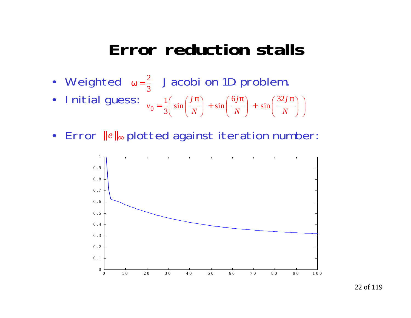#### **Error reduction stalls**

- Weighted  $\omega = \frac{2}{3}$  Jacobi on 1D problem. 2
- • Initial guess: *N j N j N j*  $v_0 = \frac{1}{3} \left( \sin \left( \frac{j \pi}{N} \right) + \sin \left( \frac{6 j \pi}{N} \right) + \sin \left( \frac{32 j \pi}{N} \right) \right)$
- •Error  $||e||_{∞}$  plotted against iteration number:

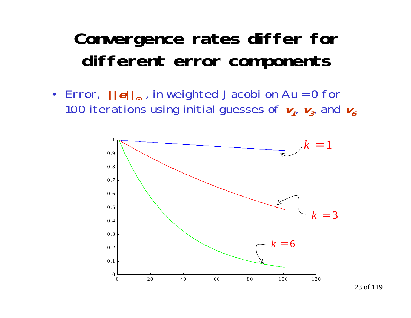### **Convergence rates differ for different error components**

• Error, **||e||**∞ , in weighted Jacobi on Au = 0 for 100 iterations using initial guesses of  $v_1$ ,  $v_3$  and  $v_6$ 

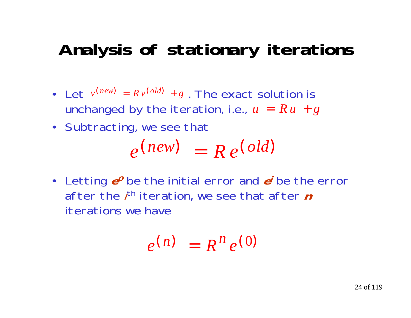### **Analysis of stationary iterations**

- Let  $v^{(new)} = R v^{(old)} + g$ . The exact solution is unchanged by the iteration, i.e.,  $u = R\,u\, + g$
- Subtracting, we see that

$$
e^{(new)} = Re^{(old)}
$$

• Letting  $e^o$  be the initial error and  $e^{\prime}$  be the error after the *i*<sup>th</sup> iteration, we see that after *n* iterations we have

$$
e^{(n)} = R^n e^{(0)}
$$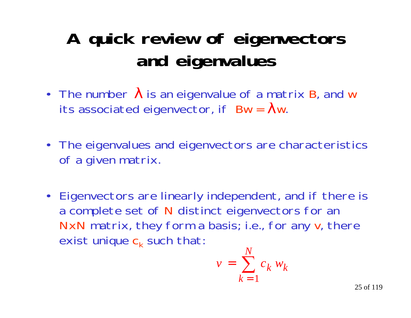# **A quick review of eigenvectors and eigenvalues**

- The number  $\lambda$  is an eigenvalue of a matrix B, and w its associated eigenvector, if  $\, {\sf Bw} = \, \boldsymbol{\lambda} {\sf w}.$
- The eigenvalues and eigenvectors are characteristics of a given matrix.
- Eigenvectors are linearly independent, and if there is a complete set of N distinct eigenvectors for an NxN matrix, they form a basis; i.e., for any v, there exist unique c<sub>k</sub> such that:

$$
v = \sum_{k=1}^{N} c_k w_k
$$

25 of 119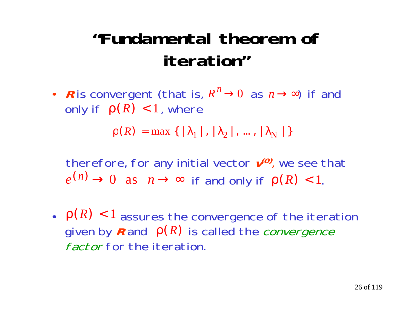# **"Fundamental theorem ofiteration"**

• R is convergent (that is,  $R^n \rightarrow 0$  as  $n \rightarrow \infty$ ) if and only if  $\rho(R) < 1$ , where  $n \to 0$  as  $n \to \infty$ 

 $\rho(R) = \max \{ | \lambda_1 |, | \lambda_2 |, ..., | \lambda_N | \}$ 

therefore, for any initial vector  $v^{(0)}$ , we see that  $e^{(n)} \rightarrow 0$  as  $n \rightarrow \infty$  if and only if  $\rho(R) < 1$ .

 $\cdot$   $\rho(R)$  < 1 assures the convergence of the iteration given by  $R$  and  $p(R)$  is called the *convergence* factor for the iteration.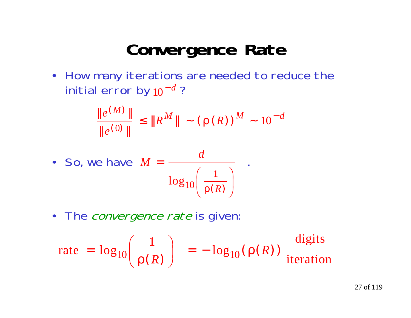### **Convergence Rate**

• How many iterations are needed to reduce the initial error by  $10^{-d}$  ? − *d*

$$
\frac{\|e^{(M)}\|}{\|e^{(0)}\|} \le \|R^M\| \sim (\rho(R))^M \sim 10^{-d}
$$

• So, we have 
$$
M = \frac{d}{\log_{10} \left( \frac{1}{\rho(R)} \right)}
$$
.

• The *convergence rate* is given:

$$
\text{rate} = \log_{10}\left(\frac{1}{\rho(R)}\right) = -\log_{10}(\rho(R)) \frac{\text{digits}}{\text{iteration}}
$$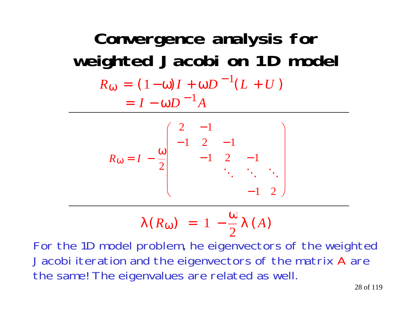**Convergence analysis for weighted Jacobi on 1D model**  $R_{00} = (1 - \omega)I + \omega D$   $(L + U)$  $\omega = (1-\omega)I + \omega D$  $= (1 - \omega)I + \omega D^{-1}(L + U)$ 1  $= I - \omega D^{-1} A$ 

$$
R_{\omega} = I - \frac{\omega}{2} \begin{pmatrix} 2 & -1 & & & \\ -1 & 2 & -1 & & \\ & -1 & 2 & -1 & \\ & & \ddots & \ddots & \ddots \\ & & & -1 & 2 \end{pmatrix}
$$

$$
\lambda(R_{\omega}) = 1 - \frac{\omega}{2} \lambda(A)
$$

For the 1D model problem, he eigenvectors of the weighted Jacobi iteration and the eigenvectors of the matrix A are the same! The eigenvalues are related as well.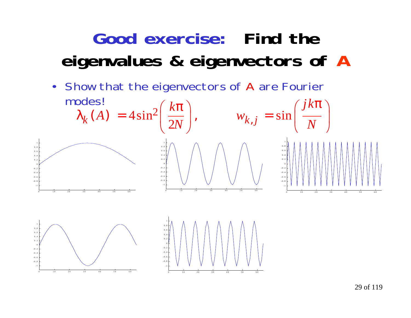# **Good exercise: Find theeigenvalues & eigenvectors of A**

• Show that the eigenvectors of A are Fourier







29 of 119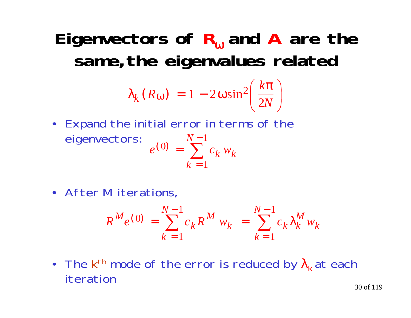### **Eigenvectors of R** ω **and A are the same,the eigenvalues related**

$$
\lambda_k(R_{\omega}) = 1 - 2\omega \sin^2\left(\frac{k\pi}{2N}\right)
$$

- Expand the initial error in terms of the eigenvectors:  $e^{y} = e^{y}$  $(0) = \sqrt[15]{5}$  $k=1$  $0 = \sum_{n=1}^{N-1}$  $\sum c_k w_k$ *N*
- After M iterations,

$$
R^{M} e^{(0)} = \sum_{k=1}^{N-1} c_k R^{M} w_k = \sum_{k=1}^{N-1} c_k \lambda_k^{M} w_k
$$

• The k<sup>th</sup> mode of the error is reduced by  $\lambda_{\mathsf{k}}$  at each iteration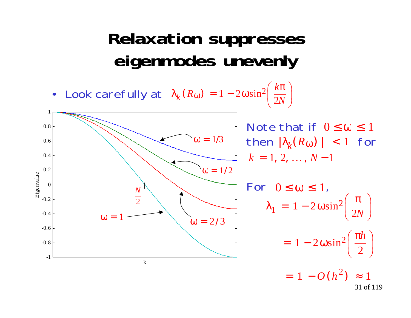### **Relaxation suppresses eigenmodes unevenly**

•Look carefully at  $\lambda_k(R_\omega) = 1 - 2\omega \sin^2\left(\frac{k\pi}{2N}\right)$ 



31 of 119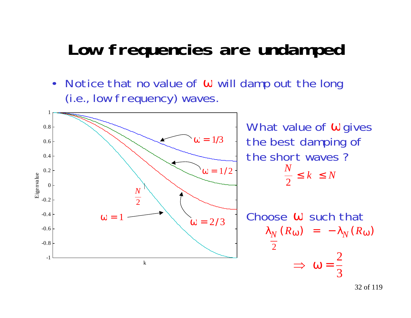#### **Low frequencies are undamped**

 $\bullet$ Notice that no value of  $\omega$  will damp out the long (i.e., low frequency) waves.

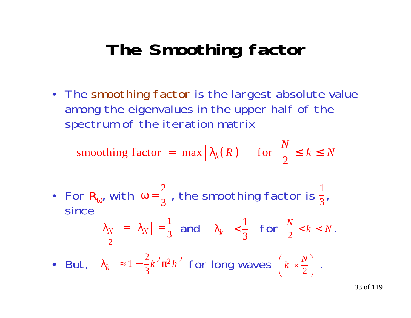### **The Smoothing factor**

• The smoothing factor is the largest absolute value among the eigenvalues in the upper half of the spectrum of the iteration matrix

2smoothing factor = max  $\left|\lambda_k(R)\right|$  for  $\frac{1}{2} \le k \le N$  $R$ ) for  $\frac{N}{2}$ 

• For  $R_{\omega}$ , with  $\omega = \frac{2}{3}$ , the smoothing factor is  $\frac{2}{3}$ , since  $|\lambda_N| = |\lambda_N| = \frac{1}{2}$  and  $|\lambda_k| < \frac{1}{2}$  for  $\frac{N}{2} < k < N$ . 2 3 1  $\left|\lambda_{N}\right|$  =  $\left|\lambda_{N}\right|$  = 23  $\frac{1}{3}$  and  $|\lambda_k| < \frac{1}{3}$  $\frac{1}{\pi}$  for  $\frac{N}{\pi}$  < k < N *N* 2  $<\kappa<$ 

• But,  $|\lambda_k| \approx 1 - \frac{2}{3} k^2 \pi^2 h^2$  for long waves  $\left[ k \times \frac{N}{2} \right]$ .  $1 - \frac{2}{5} k^2 \pi^2 h$  $2\pi^2 h^2$  for long way  $(s, N)$  $\int$  $\bigg($  $\setminus$  $k \propto \frac{N}{2}$ «

33 of 119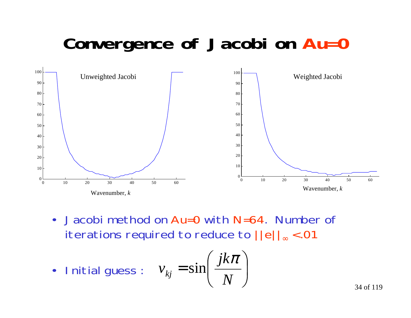# **Convergence of Jacobi on Au=0**



 $\bullet$  Jacobi method on Au=0 with N=64. Number ofiterations required to reduce to ||e|| <sup>∞</sup> < .01

• Initial guess: 
$$
v_{kj} = \sin\left(\frac{jk\pi}{N}\right)
$$

34 of 119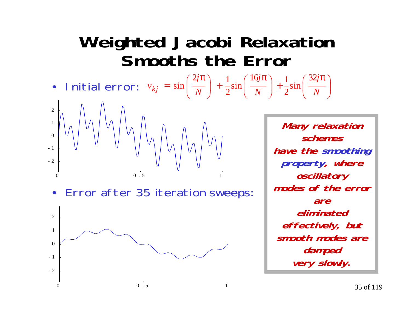#### **Weighted Jacobi Relaxation Smooths the Error**

•Initial error:  $v_{kj} = \sin \left( \frac{v}{N} \right) + \frac{1}{2} \sin \left( \frac{v}{N} \right) + \frac{1}{2} \sin \left( \frac{v}{N} \right)$ *j N j N j v kj*  $\setminus$  $\int$  $(32jπ$ |  $\setminus$ +  $\setminus$  $\int$  $\int 16jπ$ I  $\setminus$ +  $\setminus$  $\int$  $\int 2jπ$ |  $\setminus$ =  $rac{1}{2}\sin\left(\frac{32}{N}\right)$  $\frac{1}{2}\sin\left(\frac{16j\pi}{N}\right)+\frac{1}{2}$  $\sin\left(\frac{2j\pi}{1}\right) + \frac{1}{1}$ 



•Error after 35 iteration sweeps:



**Many relaxation schemeshave the smoothing property, where oscillatory modes of the errorareeliminatedeffectively, but smooth modes aredamped very slowly.**

|<br>|<br>|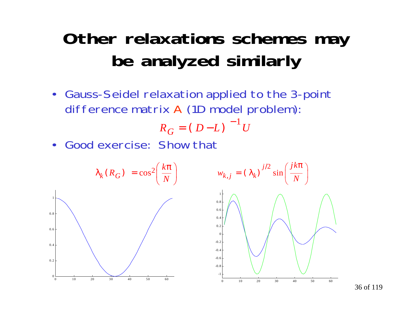### **Other relaxations schemes may be analyzed similarly**

 $\bullet$  Gauss-Seidel relaxation applied to the 3-point difference matrix A (1D model problem):

$$
R_G = (D - L)^{-1} U
$$

•Good exercise: Show that

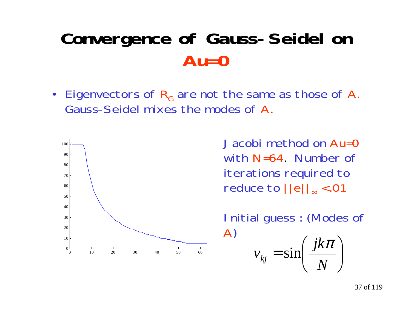# **Convergence of Gauss-Seidel on Au=0**

• Eigenvectors of  $\mathsf{R}_{\mathsf{G}}$  are not the same as those of A. Gauss-Seidel mixes the modes of A.



with N=64. Number of iterations required to reduce to ||e|| <sup>∞</sup> < .01

Initial guess : (Modes of A ) )  $\left(\frac{jk\pi}{\pi}\right)$  $\setminus$  $\bigg($  $=$  sin $\left(\frac{N}{N}\right)$ *jk*  ${\cal V}_{kj}$  $\pi$  $\sin \frac{f}{f}$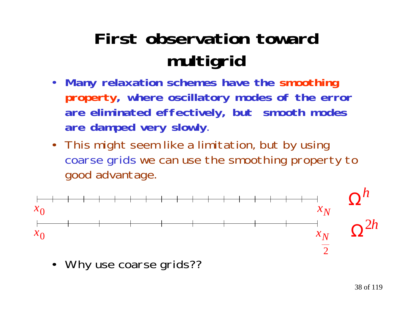# **First observation towardmultigrid**

- $\bullet$  **Many relaxation schemes have the smoothing property, where oscillatory modes of the error are eliminated effectively, but smooth modes are damped very slowly**.
- This might seem like a limitation, but by using coarse grids we can use the smoothing property to good advantage.



•Why use coarse grids??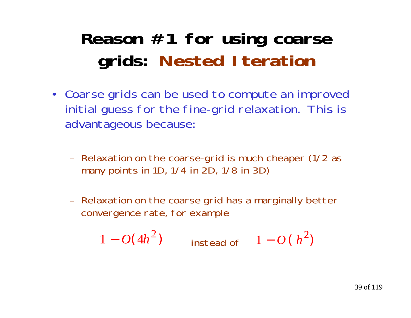# **Reason #1 for using coarse grids: Nested Iteration**

- Coarse grids can be used to compute an improved initial guess for the fine-grid relaxation. This is advantageous because:
	- – Relaxation on the coarse-grid is much cheaper (1/2 as many points in 1D, 1/4 in 2D, 1/8 in 3D)
	- Relaxation on the coarse grid has a marginally better convergence rate, for example

$$
1 - O(4h^2)
$$
 instead of  $1 - O(h^2)$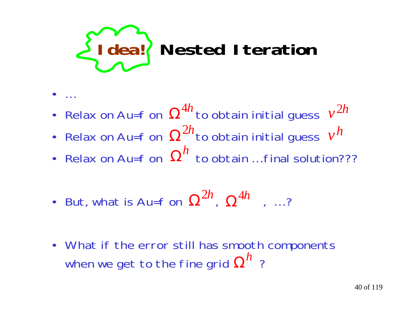

- •…
- Relax on Au=f on  $\, \Omega^{4h} \,$ to obtain initial guess  $\, v^{2h} \,$
- Relax on Au=f on  $\, \Omega^{2h}$ to obtain initial guess  $\, v^{h}$
- Relax on Au=f on  $\, \Omega^{h} \,$  to obtain ... final solution???
- But, what is Au=f on  $\, \Omega^{2h}$ ,  $\, \Omega^{4h}$  , …?
- What if the error still has smooth components when we get to the fine grid  $\boldsymbol{\Omega^h}$  ?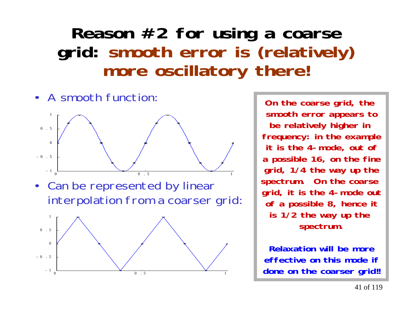#### **Reason #2 for using a coarse grid: smooth error is (relatively) more oscillatory there!**





**On the coarse grid, the smooth error appears to be relatively higher in frequency: in the example it is the 4-mode, out of a possible 16, on the fine grid, 1/4 the way up the spectrum. On the coarse grid, it is the 4-mode out of a possible 8, hence it is 1/2 the way up the spectrum.**

**Relaxation will be moreeffective on this mode ifdone on the coarser grid!!**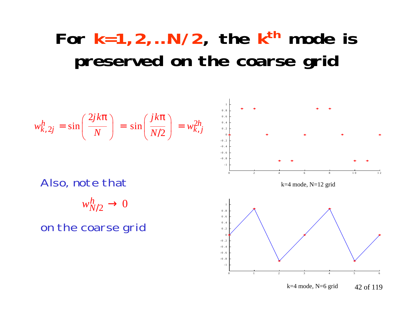# For  $k=1,2,...N/2$ , the  $k<sup>th</sup>$  mode is **preserved on the coarse grid**

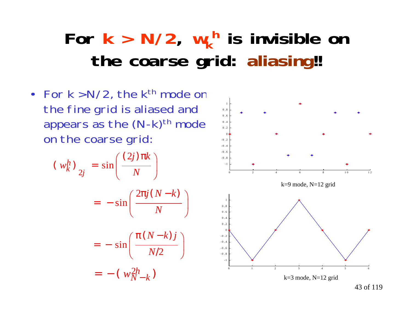# For  $k > N/2$ ,  $w_k$ <sup>h</sup> is invisible on **the coarse grid: aliasing!!**

• For k > N/2, the k<sup>th</sup> mode on the fine grid is aliased and appears as the  $(N-k)$ <sup>th</sup> mode on the coarse grid:

$$
\begin{aligned} \left(\begin{array}{c} w_k^h \end{array}\right)_{2j} &= \sin\left(\frac{(2j)\pi k}{N}\right) \\ &= -\sin\left(\frac{2\pi j(N-k)}{N}\right) \\ &= -\sin\left(\frac{\pi(N-k)j}{N/2}\right) \\ &= -\left(\begin{array}{c} w_{N-k}^{2h} \end{array}\right) \end{aligned}
$$

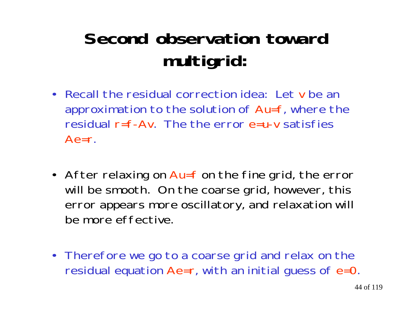# **Second observation towardmultigrid:**

- Recall the residual correction idea: Let v be anapproximation to the solution of Au=f, where the residual r=f-Av. The the error e=u-v satisfies $Ae=r$ .
- After relaxing on Au=f on the fine grid, the error will be smooth. On the coarse grid, however, this error appears more oscillatory, and relaxation will be more effective.
- Therefore we go to a coarse grid and relax on the residual equation Ae=r, with an initial guess of e=0.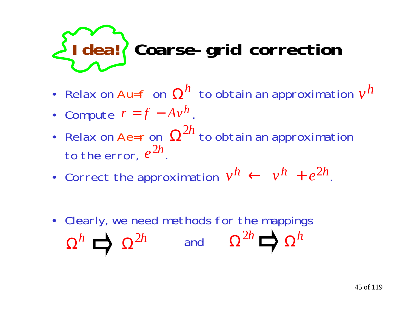# **Idea! Coarse-grid correction**

- Relax on Au=f on to obtain an approximation <sup>Ω</sup>*<sup>h</sup> <sup>v</sup><sup>h</sup>*
- Compute  $r = f A v^h$ .
- Relax on Ae=r on  $\ \Omega^{2h}$  to obtain an approximation to the error,  $e^{2h}$ .
- Correct the approximation  $v^h \leftarrow v^h + e^{2h}$ .
- Clearly, we need methods for the mappings  $\Omega^h$   $\Box$   $\Omega^{2h}$  and  $\Omega^{2h}$   $\Box$   $\Omega^h$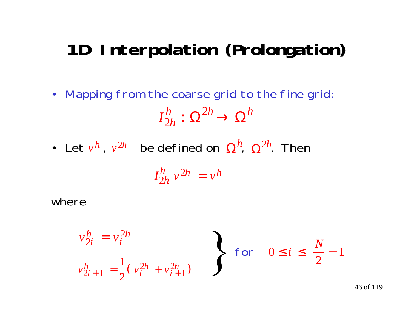# **1D Interpolation (Prolongation)**

- Mapping from the coarse grid to the fine grid: *I*  $\frac{h}{2h}$  :  $\Omega^2$  $\frac{h}{2h}:\,\Omega^{2h}\rightarrow\Omega^{h}$
- Let  $v^h$  ,  $v^{2h}$  be defined on  $\boldsymbol{\Omega}^{\prime\prime}$ ,  $\boldsymbol{\Omega}^{2h}$ . Then *h v* 2*h* Ω*h* Ω2*h*

$$
I_{2h}^h v^{2h} = v^h
$$

where

$$
v_{2i}^h = v_i^{2h}
$$
  
\n
$$
v_{2i+1}^h = \frac{1}{2} (v_i^{2h} + v_{i+1}^{2h})
$$
 for  $0 \le i \le \frac{N}{2} - 1$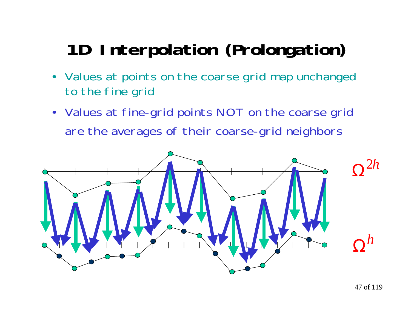# **1D Interpolation (Prolongation)**

- • Values at points on the coarse grid map unchanged to the fine grid
- Values at fine-grid points NOT on the coarse grid are the averages of their coarse-grid neighbors

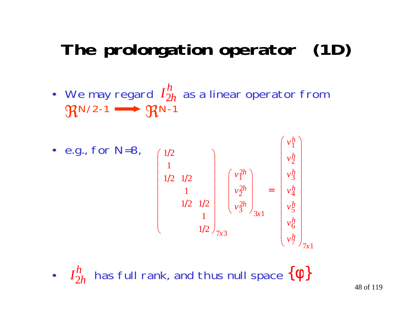# **The prolongation operator (1D)**

- We may regard  $I_{2h}^{\prime\prime}$  as a linear operator from  $\mathfrak{R}$ N/2-1  $\longrightarrow$   $\mathfrak{R}$ N-1 *I* 2 *h h*
- e.g., for N=8,  $\setminus$ |<br>|<br>|  $\int$  $\bigg($  $\setminus$ =  $\setminus$  $\int$ ſ  $\setminus$  $\setminus$ ------- $/2$  )  $/2 \frac{1}{2}$  $/2 \frac{1}{2}$  $\begin{pmatrix} 1/2 \\ 1 \end{pmatrix}$ │ │ │ │ ▏ │ │ │  $\sqrt{1/2}$ 1  $1/2$   $1/2$ 1 1 2 1 2 1 1 2  $7$   $\frac{1}{7}$   $7$ 6 5 4 3 2 1  $3x1$ 2 3  $\frac{2}{2}$ 2 1 7 3 *x h h h h h h h x h h h*  $\begin{array}{ccc} x3 & & & \end{array}$ *v v v v v v v v v*
- $I^h_{2h}$  has full rank, and thus null space  $\{\Phi\}$ *h h*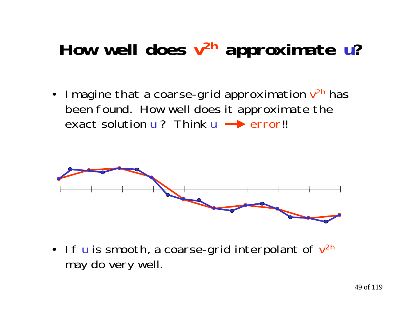# **How well does v2h approximate u?**

• Imagine that a coarse-grid approximation  $\mathsf{v}^\mathsf{2h}$  has been found. How well does it approximate the exact solution  $u$  ? Think  $u \rightarrow error!!$ 



• If  $\sf{u}$  is smooth, a coarse-grid interpolant of  $\sf{v}^\sf{2h}$ may do very well.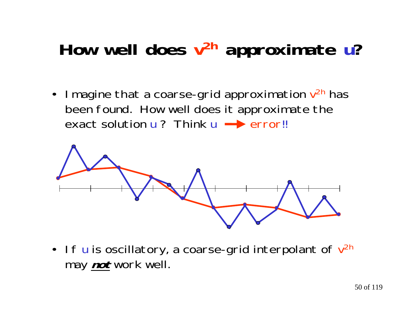# **How well does v2h approximate u?**

 $\bullet$ I magine that a coarse-grid approximation  $v^{2h}$  has been found. How well does it approximate the exact solution  $u$  ? Think  $u \rightarrow$  error!!



• If **u** is oscillatory, a coarse-grid interpolant of  $v^{2h}$ may **not** work well.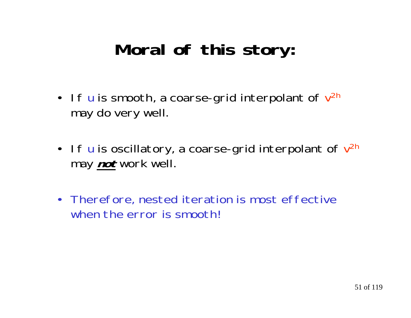# **Moral of this story:**

- If  $\sf{u}$  is smooth, a coarse-grid interpolant of  $\sf{v}^\text{2h}$ may do very well.
- If **u** is oscillatory, a coarse-grid interpolant of  $v^{2h}$ may **not** work well.
- Therefore, nested iteration is most effective when the error is smooth!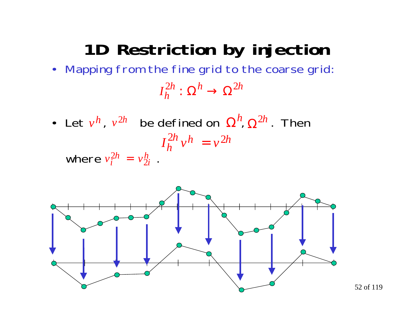# **1D Restriction by injection**

- Mapping from the fine grid to the coarse grid: *I*  $\Omega^h_h:\Omega^h\to\Omega^{2h}$  $2h \cdot \Omega^h \cdot \Omega^2$  $: \, \Omega^{\prime \prime} \rightarrow \Omega$
- Let  $v^h$ ,  $v^{2h}$  be defined on  $\Omega^n$ ,  $\Omega^{2h}$ . Then where  $v_i^{2h} = v_{2i}^h$ . *h v*  $^{2h}$  be defined on  $\Omega$ *h* Ω2*h*  $\frac{2h}{i} = v \frac{h}{2i}$  $\frac{2h}{1}$  =  $I_h^{\text{2n}} v^n = v$  $\frac{2h}{h}v^h = v^{2h}$  $\frac{2h}{h}$   $\sqrt{h} = v^2$

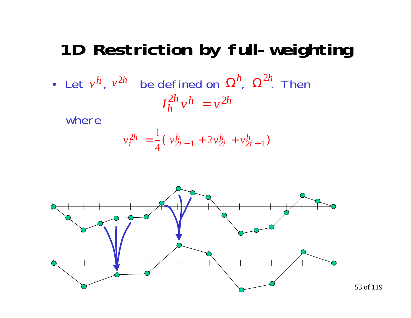## **1D Restriction by full-weighting**

• Let  $v^n$ ,  $v^{2n}$  be defined on  $\Omega^n$ ,  $\Omega^{2n}$ . Then *h v*  $^{2h}$  be defined on  $\Omega$ *h* Ω 2*h*  $I_h^{\text{2n}} v^n = v$  $\frac{2h}{h}v^h = v^{2h}$  $\frac{2h}{h}$   $\sqrt{h} = v^2$ 

where

$$
v_i^{2h} = \frac{1}{4} (v_{2i-1}^h + 2v_{2i}^h + v_{2i+1}^h)
$$



53 of 119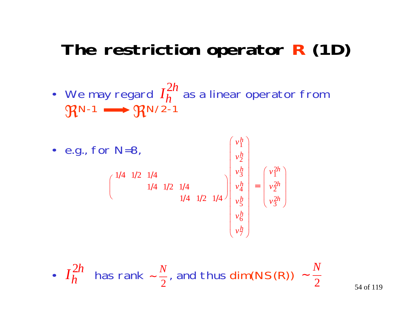# **The restriction operator R (1D)**

• We may regard  $I_h^{2n}$  as a linear operator from  $\mathfrak{R}$ N-1  $\longrightarrow$   $\mathfrak{R}$ N/2-1 *h h* 2



• 
$$
I_h^{2h}
$$
 has rank  $\sim \frac{N}{2}$ , and thus dim(NS(R))  $\sim \frac{N}{2}$ 

54 of 119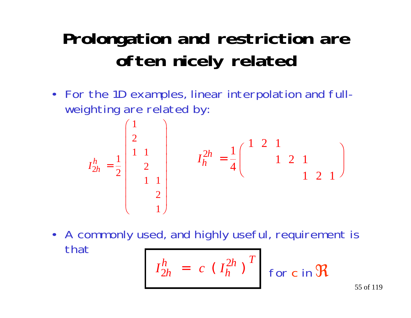# **Prolongation and restriction are often nicely related**

• For the 1D examples, linear interpolation and fullweighting are related by:

$$
I_{2h}^{h} = \frac{1}{2} \begin{pmatrix} 1 \\ 2 \\ 1 \\ 2 \\ 1 \\ 1 \end{pmatrix} \qquad I_{h}^{2h} = \frac{1}{4} \begin{pmatrix} 1 & 2 & 1 \\ & 1 & 2 & 1 \\ & & 1 & 2 & 1 \end{pmatrix}
$$

• A commonly used, and highly useful, requirement is that*h*

2

*h*

=

$$
I_{2h}^h = c \left(I_h^{2h}\right)^T \quad \text{for c in } \Re
$$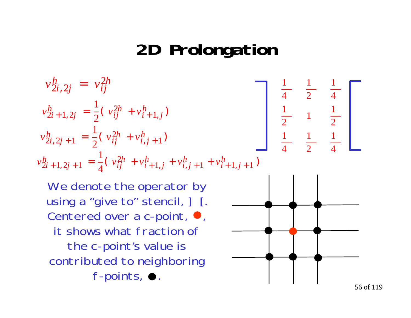## **2D Prolongation**

$$
v_{2i,2j}^h = v_{ij}^{2h}
$$
  
\n
$$
v_{2i+1,2j}^h = \frac{1}{2} (v_{ij}^{2h} + v_{i+1,j}^h)
$$
  
\n
$$
v_{2i,2j+1}^h = \frac{1}{2} (v_{ij}^{2h} + v_{i,j+1}^h)
$$
  
\n
$$
v_{2i+1,2j+1}^h = \frac{1}{4} (v_{ij}^{2h} + v_{i+1,j}^h + v_{i,j+1}^h + v_{i+1,j+1}^h)
$$
  
\n
$$
\frac{1}{4} = \frac{1}{2} \frac{1}{4}
$$
  
\n
$$
\frac{1}{4} = \frac{1}{2} \frac{1}{4}
$$

We denote the operator by using a "give to" stencil,  $]$  [. Centered over a c-point,  $\bullet$ , it shows what fraction ofthe c-point's value is contributed to neighboring f-points,  $\bullet$ .

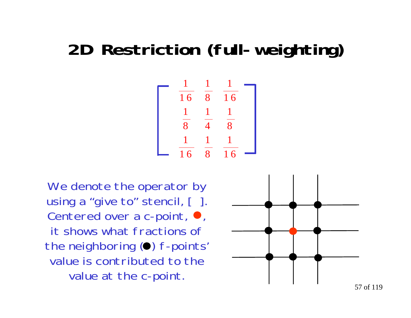# **2D Restriction (full-weighting)**

$$
\begin{array}{|c|c|c|c|}\n\hline\n & \frac{1}{16} & \frac{1}{8} & \frac{1}{16} \\
\hline\n & \frac{1}{8} & \frac{1}{4} & \frac{1}{8} \\
 & \frac{1}{16} & \frac{1}{8} & \frac{1}{16}\n\end{array}
$$

We denote the operator by using a "give to" stencil, [ ]. Centered over a c-point,  $\bullet$ , it shows what fractions ofthe neighboring  $\left( \bullet \right)$  f-points' value is contributed to thevalue at the c-point.



57 of 119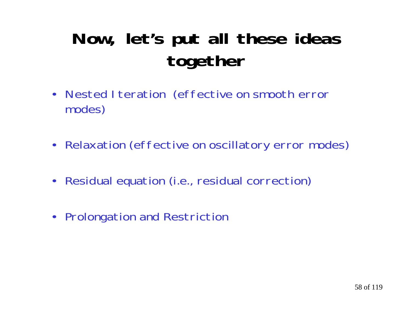# **Now, let's put all these ideas together**

- Nested Iteration (effective on smooth error modes)
- Relaxation (effective on oscillatory error modes)
- Residual equation (i.e., residual correction)
- Prolongation and Restriction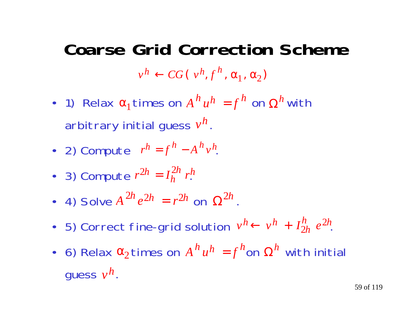# **Coarse Grid Correction Scheme** $v^h \leftarrow CG( v^h, f^h, \alpha_1, \alpha_2)$

- 1) Relax  $\alpha_1$  times on  $A^h u^h = f^n$  on  $\Omega^h$  with arbitrary initial guess  $v^{\bm \prime\bm \mu}$  .  $h$ <sup>*h*</sup>  $u^h$  =  $f^h$  on  $\Omega$  $\alpha_1$ times on  $A^h u^h = f^h$  on  $\Omega^h$ *h*
- 2) Compute  $r^h = f'' A''v^h$  $h = f^h - A^h v^h$
- 3) Compute  $r^{\perp n} = I_h^{\perp n} r^{\perp n}$  $2h = I_h^{2h} r_h^h$ *h* =
- 4) Solve  $A^{2n}e^{2h} = r^{2h}$  on  $\Omega^{2n}$ .  $^{2h}e^{2h} = r^{2h}$  on  $\Omega$ 2*h*
- 5) Correct fine-grid solution  $v^n \leftarrow v^n + I_{2h}^n e^{2h}$ . *h h h* $h \leftarrow v^h +$  $\frac{h}{2h}$   $e^2$
- 6) Relax  $\alpha_2$ times on  $A^{\prime\prime}u^{\prime\prime} = f^{\prime\prime}$ on  $\Omega^{\prime\prime}$  with initial guess  $\nu^n$ .  $h$ <sup>*h*</sup>  $u^h$  =  $f^h$ on  $\Omega$  $\alpha_2$ times on  $A^h u^h = f^h$ on  $\Omega^h$ *h*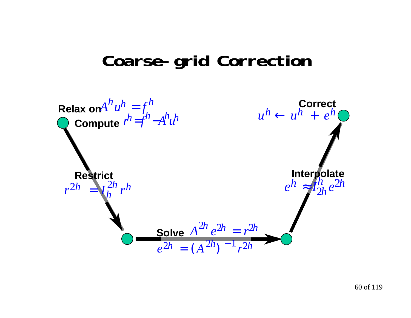#### **Coarse-grid Correction**

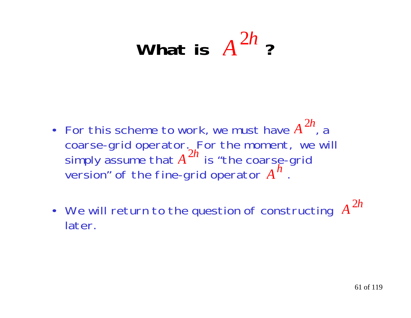#### What is  $A^{2n}$ ? 2*h*

- For this scheme to work, we must have  $A^{2n}$ , a coarse-grid operator. For the moment, we will simply assume that  $A$   $^{\prime\prime\prime}$  is "the coarse-grid version" of the fine-grid operator  $A^{\prime\prime}$  . 2*h A* 2*h A h*
- We will return to the question of constructing *A* later.2*h*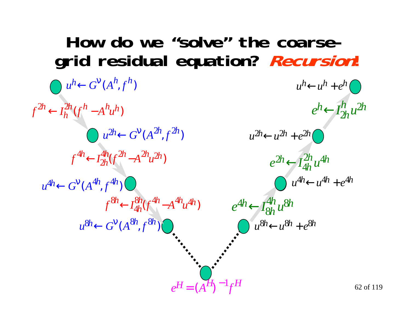#### 62 of 119**How do we "solve" the coarsegrid residual equation? Recursion!**  $e^{n} \leftarrow I_{2}^{\prime \prime} u$ *h h h* $h_{\leftarrow}$  $\frac{\hbar}{2h}u^2$  $e^{\mu n} \leftarrow I_{4h}^{\mu} u$  $\frac{2h}{4h}$ u $4$  $2h$   $\leftarrow$   $I_{4h}^{2h}$   $u^{4h}$  $h_{\leftarrow}$  $e^{4n} \leftarrow I_{\Omega}^{\pi} u$ 4h<br>8h U  $^8$ 4 *h h h* $f^{8n} \leftarrow I_{4h}^{8n} (f^{4n} - A^{4n} u^{4n})$   $e^{4h} \leftarrow$  $u^h$   $\leftarrow$   $G^V(A^h, f^h)$  $u^{2h}$  ←  $G^V(A^{2h}, f^{2h})$  $u^{4h}$  ←  $G^V(A^{4h}, f^{4h})$  $u^{8h} \leftarrow G^V(A^{8h}, f^{8h})$  and  $u^{8h} \leftarrow u^{8h} + e^{8h}$  $f^{\perp n} \leftarrow I_h^{\perp n} (f^n - A^n u)$  $2h \leftarrow I_h^{2h} (f^h - A^h u^h)$  $h \leftarrow l_h^{2h}$  (  $-A^{\prime\prime}u^{\prime\prime})$  $f^{\mathcal{H}i} \leftarrow I^{\mathcal{H}i}_{2h}(f^{2n} - A^{2n}u)$  $\frac{4h}{2h}(f^{2h}-A^{2h}u^2)$  $A^4h$   $\leftarrow$   $I_{2h}^{4h} (f^{2h} - A^{2h} u^{2h})$  $h \leftarrow I_{2h}^{4h} ($  $-A$ <sup>2n</sup> $u$ <sup>2n</sup>)  $\frac{8h}{4h}$ (f  $^{4h}$   $-A$  $4h$   $u$   $4$  $\overset{8h}{\leftarrow}$   $I^{8h}_{4h}$ ( $f^{4h}$   $-A^{4h}$ u $^{4h}$  $\partial^h \leftarrow I^{8h}_{4h} ($  $-A$ <sup> $\mathbf{u}^{\mu}u^{\mathbf{q}\eta}$ </sup>  $u^{4h}$  $\leftarrow$  $u^{4h}$  +  $e^{4h}$  $u^{2h}$  $\leftarrow$   $u^{2h}$   $+$   $e^{2h}$  $u^h \leftarrow u^h + e^h$  $e^H = (A^H)^{-1} f^H$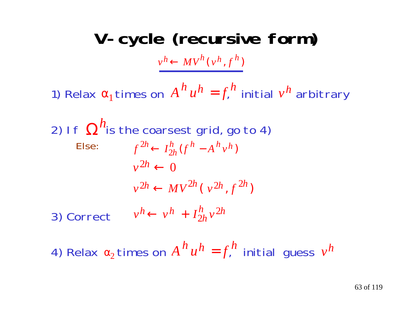**V-cycle (recursive form)**

 $v^h \leftarrow MV^h(v^h, f^h)$ 

1) Relax  $\alpha_1$ times on  $A^{\prime\prime}u^{\prime\prime} = f^{\prime\prime}_h$  initial  $v^{\prime\prime}$  arbitrary  $h$ <sup>*u*</sup> $h$ </sup> =  $f$ <sup>*h*</sup> initial *v h*

2) If 
$$
\Omega^h
$$
 is the coarsest grid, go to 4)  
\nElse:  $f^{2h} \leftarrow I_{2h}^h (f^h - A^h v^h)$   
\n $v^{2h} \leftarrow 0$   
\n $v^{2h} \leftarrow MV^{2h} (v^{2h}, f^{2h})$   
\n3) Correct  $v^h \leftarrow v^h + I_{2h}^h v^{2h}$ 

4) Relax  $\alpha_2$  times on  $A^{\,\prime\prime}\,u^{\,n}=f^{\,\prime\prime}_\cdot$  initial guess  $h$ <sup>*u*</sup> $h$  =  $f$ <sup>*h*</sup>. Initial quess  $v$ *h*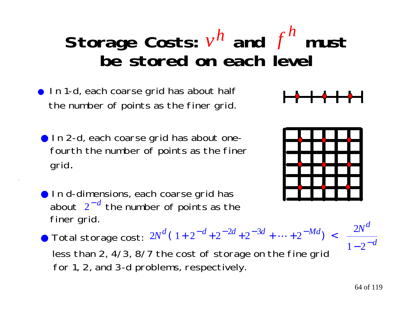#### Storage Costs:  $v^n$  and  $f^n$  must **be stored on each level** *h f h*

- In 1-d, each coarse grid has about half the number of points as the finer grid.
- In 2-d, each coarse grid has about one fourth the number of points as the finer grid.
- In d-dimensions, each coarse grid has about  $2^{-a}$  the number of points as the finer grid. − *d*
- $2N^d (1 + 2^{-d} + 2^{-2d} + 2^{-3d} + \dots + 2^{-Md}) < \frac{2}{a}$  $N^d$  (1+2<sup>-d</sup>+2<sup>-2d</sup>+2<sup>-3d</sup>+...+2<sup>-Md</sup>) <  $\frac{2N^d}{12^{-d}}$ *d d d d d M d*  $(1+2^{-a}+2^{-2a}+2^{-3a}+\cdots+2^{-ma}) < \frac{1}{1}$ ● Total storage cost:  $2N^d$  (  $1+2^{-d}+2^{-2d}+2^{-3d}+\cdots+2^{-d}$ less than 2, 4/3, 8/7 the cost of storage on the fine grid for 1, 2, and 3-d problems, respectively.



┣╾╋╾╉╾╋╾╋╾╉



 $1 - 2$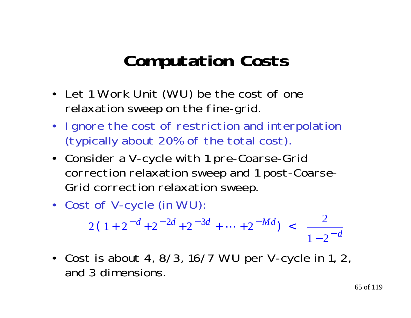# **Computation Costs**

- Let 1 Work Unit (WU) be the cost of one relaxation sweep on the fine-grid.
- • Ignore the cost of restriction and interpolation (typically about 20% of the total cost).
- Consider a V-cycle with 1 pre-Coarse-Grid correction relaxation sweep and 1 post-Coarse-Grid correction relaxation sweep.
- Cost of V-cycle (in WU):

$$
2(1+2^{-d}+2^{-2d}+2^{-3d}+\cdots+2^{-Md}) < \frac{2}{1-2^{-d}}
$$

• Cost is about 4, 8/3, 16/7 WU per V-cycle in 1, 2, and 3 dimensions.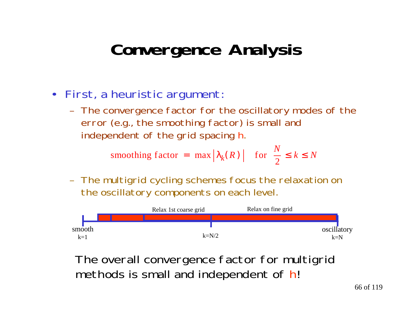# **Convergence Analysis**

- • First, a heuristic argument:
	- The convergence factor for the oscillatory modes of the error (e.g., the smoothing factor) is small and independent of the grid spacing h.

2smoothing factor =  $\max |\lambda_k(R)|$  for  $\frac{R}{2} \le k \le N$  $R$ ) for  $\frac{N}{2}$ 

 The multigrid cycling schemes focus the relaxation on the oscillatory components on each level.



The overall convergence factor for multigrid methods is small and independent of h!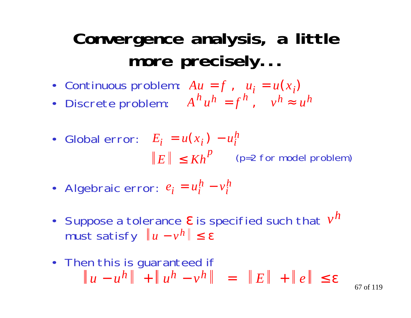# **Convergence analysis, a little more precisely...**

- Continuous problem:  $Au = f$ ,  $u_i = u(x_i)$
- Discrete problem:  $A^{\prime\prime}u^{\prime\prime} = f^{\prime\prime}$ ,  $v^{\prime\prime} \approx u$  $h$ <sup>*h*</sup>*h* =  $f$ <sup>*h*</sup>,  $v$ <sup>*h*</sup>  $\approx u$ <sup>*h*</sup>
- Global error:  $E_i = u(x_i) u$  $|E| \le Kh^P$  (p=2 for model problem)  $h_i = u(x_i) - u_i^h$ − *p*
- Algebraic error:  $e_i = u_i^n v_i$  $\mu_i = \mu_i^h - \nu_i^h$ −
- Suppose a tolerance  $\varepsilon$  is specified such that  $v$ must satisfy ∥*u* – ν<sup>*n*</sup>∥≤ε *h h*
- Then this is guaranteed if  $u - u^n$   $|| + ||u^n - v^n|| = ||E|| + ||e|| \leq \varepsilon$ *h h h*

67 of 119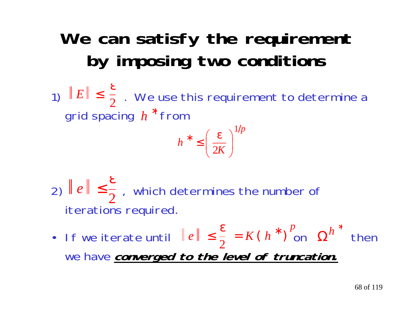# **We can satisfy the requirement by imposing two conditions**

1)  $\parallel E\parallel\,\leq\,\frac{\pi}{2}$  . We use this requirement to determine a grid spacing  $\,h\,$   $\,$  from ∗  $\leq \frac{\varepsilon}{2}$ 

$$
h^* \le \left(\frac{\varepsilon}{2K}\right)^{1/p}
$$

2)  $\parallel e \parallel \leq \frac{1}{2}$ , which determines the number of iterations required. ε  $\leq$   $\frac{1}{2}$ 

• If we iterate until  $\|e\| \leq \frac{1}{2} = K(h^{\top})$  on  $\Omega''$  then we have **converged to the level of truncation.**  $\leq \frac{\epsilon}{2}$ ∗ *p*  $\boldsymbol{\Omega}$ *h* ∗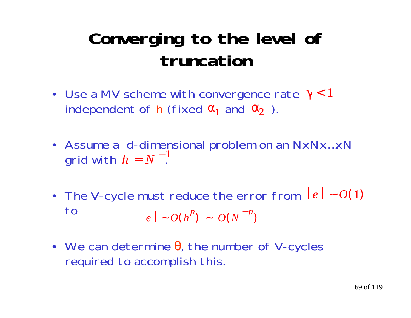# **Converging to the level of truncation**

- Use a MV scheme with convergence rate  $γ < 1$ independent of **h** (fixed  $\alpha_1$  and  $\alpha_2$  ).
- Assume a d-dimensional problem on an NxNx…xN grid with  $h = N^-$ . − 1
- The V-cycle must reduce the error from ∥e∥ ~  $O(1)$ to $e \parallel -Q(h^P) - Q(N^{-P})$
- We can determine  $\theta$ , the number of V-cycles required to accomplish this.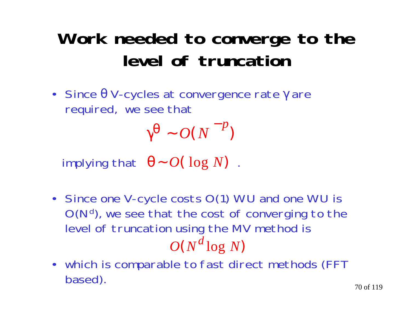# **Work needed to converge to the level of truncation**

• Since θ V-cycles at convergence rate γ are required, we see that

> $\gamma^{\pmb{\Theta}} \thicksim O(\left(N\right)^{-p})$ *O N p*

 $\lambda$  implying that  $\theta \sim O(\log N)$  .

- Since one V-cycle costs O(1) WU and one WU is O(N<sup>d</sup>), we see that the cost of converging to the level of truncation using the MV method is  $O(N^u \log N)$ *d* l o g
- which is comparable to fast direct methods (FFT based).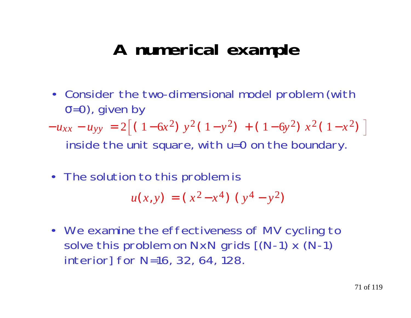## **A numerical example**

• Consider the two-dimensional model problem (with <sup>σ</sup>=0), given by

 inside the unit square, with u=0 on the boundary.  $-u_{xx}$  $-u_{yy} = 2|(1-6x^2)y^2(1-y^2) + (1-6y^2)x^2(1-x^2)$ 

• The solution to this problem is

$$
u(x, y) = (x^2 - x^4) (y^4 - y^2)
$$

• We examine the effectiveness of MV cycling to solve this problem on NxN grids [(N-1) x (N-1) interior] for N=16, 32, 64, 128.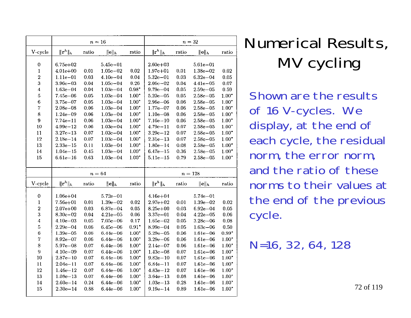|                         | $n = 16$                     |              |                              |                    | $n=32$                       |                  |                              |                    |
|-------------------------|------------------------------|--------------|------------------------------|--------------------|------------------------------|------------------|------------------------------|--------------------|
| V-cycle                 | $\ \mathbf{r}^h\ _h$         | ratio        | $\ \mathbf{e}\ _h$           | ratio              | $\ \mathbf{r}^h\ _h$         | ratio            | ∥е∥д                         | ratio              |
| 0                       | $6.75e + 02$                 |              | $5.45c - 01$                 |                    | $2.60e + 03$                 |                  | $5.61e - 01$                 |                    |
| $\mathbf 1$             | $4.01e + 00$                 | 0.01         | $1.05e - 02$                 | 0.02               | $1.97e + 01$                 | 0.01             | $1.38e - 02$                 | 0.02               |
| $\,2$                   | $1.11e - 01$                 | 0.03         | $4.10e - 04$                 | 0.04               | $5.32e - 01$                 | 0.03             | $6.32e - 04$                 | 0.05               |
| 3                       | $3.96e - 03$                 | 0.04         | $1.05c - 04$                 | 0.26               | $2.06e - 02$                 | 0.04             | $4.41e - 05$                 | 0.07               |
| $\boldsymbol{4}$        | $1.63e - 04$                 | 0.04         | $1.03e - 04$                 | $0.98*$            | $9.79e - 04$                 | 0.05             | $2.59e - 05$                 | 0.59               |
| 5                       | $7.45e - 06$                 | 0.05         | $1.03e - 04$                 | $1.00*$            | $5.20e - 05$                 | 0.05             | $2.58e - 05$                 | 1.00*              |
| 6                       | $3.75e - 07$                 | 0.05         | $1.03e - 04$                 | $1.00*$            | $2.96e - 06$                 | 0.06             | $2.58e - 05$                 | $1.00*$            |
| $\overline{7}$          | $2.08e - 08$                 | 0.06         | $1.03e - 04$                 | $1.00*$            | $1.77e - 07$                 | 0.06             | $2.58e - 05$                 | $1.00*$            |
| 8                       | $1.24e - 09$                 | 0.06         | $1.03e - 04$                 | $1.00*$            | $1.10e - 08$                 | 0.06             | $2.58e - 05$                 | $1.00*$            |
| $\boldsymbol{9}$        | $7.74e - 11$                 | 0.06         | $1.03e - 04$                 | $1.00*$            | $7.16e - 10$                 | 0.06             | $2.58e - 05$                 | $1.00*$            |
| 10                      | $4.99e - 12$                 | 0.06         | $1.03e - 04$                 | $1.00*$            | $4.79e - 11$                 | 0.07             | $2.58e - 05$                 | $1.00*$            |
| 11                      | $3.27e - 13$                 | 0.07         | $1.03e - 04$                 | $1.00*$            | $3.29e - 12$                 | 0.07             | $2.58e - 05$                 | $1.00*$            |
| 12                      | $2.18e - 14$                 | 0.07         | $1.03e - 04$                 | $1.00*$            | $2.31e - 13$                 | 0.07             | $2.58c - 05$                 | $1.00*$            |
| 13                      | $2.33e - 15$                 | 0.11         | $1.03e - 04$                 | $1.00*$            | $1.80e - 14$                 | 0.08             | $2.58e - 05$                 | $1.00*$            |
| 14                      | $1.04e - 15$                 | 0.45         | $1.03e - 04$                 | $1.00*$            | $6.47e - 15$                 | 0.36             | $2.58e - 05$                 | $1.00*$            |
| 15                      | $6.61e - 16$                 | 0.63         | $1.03e - 04$                 | $1.00*$            | $5.11e - 15$                 | 0.79             | $2.58e - 05$                 | $1.00^{\circ}$     |
|                         |                              |              |                              |                    |                              |                  |                              |                    |
|                         | $n=64$                       |              |                              |                    | $n=128$                      |                  |                              |                    |
|                         |                              |              |                              |                    |                              |                  |                              |                    |
| V-cycle                 | $\ \mathbf{r}^h\ _h$         | ratio        | $\ \mathbf{e}\ _h$           | ratio              | $\ \mathbf{r}^h\ _h$         | ratio            | $\ \mathbf{e}\ _h$           | ratio              |
| 0                       | $1.06e + 04$                 |              | $5.72e - 01$                 |                    | $4.16e + 04$                 |                  | $5.74e - 01$                 |                    |
| $\mathbf 1$             | $7.56e + 01$                 | 0.01         | $1.39e - 02$                 | 0.02               | $2.97e + 02$                 | 0.01             | $1.39e - 02$                 | 0.02               |
| $\overline{\mathbf{2}}$ | $2.07e + 00$                 | 0.03         | $6.87e - 04$                 | 0.05               | $8.25e + 00$                 | 0.03             | $6.92e - 04$                 | 0.05               |
| 3                       | $8.30e - 02$                 | 0.04         | $4.21e - 05$                 | 0.06               | $3.37e - 01$                 | 0.04             | $4.22e - 05$                 | 0.06               |
| $\Lambda$               | $4.10e - 03$                 | $0.05\,$     | $7.05e - 06$                 | 0.17               | $1.65e - 02$                 | 0.05             | $3.28e - 06$                 | 0.08               |
| 5                       | $2.29e - 04$                 | 0.06         | $6.45e - 06$                 | $0.91*$            | 8.99e-04                     | 0.05             | $1.63e - 06$                 | 0.50               |
| 6                       | $1.39e - 05$                 | $0.06\,$     | 6.44e-06                     | $1.00*$            | $5.29e - 05$                 | 0.06             | $1.61e - 06$                 | $0.99*$            |
| 7                       | $8.92e - 07$                 | 0.06         | $6.44e - 06$                 | $1.00*$            | $3.29e - 06$                 | 0.06             | $1.61e - 06$                 | $1.00*$            |
| 8                       | $5.97e - 08$                 | 0.07         | $6.44e - 06$                 | $1.00*$            | $2.14e - 07$                 | 0.06             | $1.61e - 06$                 | $1.00*$            |
| 9                       | $4.10e - 09$                 | 0.07         | $6.44e - 06$                 | $1.00*$            | $1.43e - 08$                 | $0.07\,$         | $1.61e - 06$                 | $1.00*$            |
| 10                      | $2.87e - 10$                 | 0.07         | $6.44e - 06$                 | $1.00*$            | $9.82e - 10$                 | 0.07             | $1.61e - 06$                 | $1.00*$            |
| 11                      | $2.04e - 11$                 | 0.07         | $6.44e - 06$                 | $1.00*$            | $6.84e - 11$                 | 0.07             | $1.61e - 06$                 | $1.00*$            |
| 12                      | $1.46e - 12$                 | 0.07         | $6.44e - 06$                 | $1.00*$            | $4.83e - 12$                 | $0.07\,$         | $1.61e - 06$                 | $1.00*$            |
| 13                      | $1.08e - 13$                 | 0.07         | $6.44e - 06$                 | $1.00*$            | $3.64e - 13$                 | 0.08             | $1.61e - 06$                 | $1.00*$            |
| 14<br>15                | $2.60e - 14$<br>$2.30e - 14$ | 0.24<br>0.88 | $6.44e - 06$<br>$6.44e - 06$ | $1.00*$<br>$1.00*$ | $1.03e - 13$<br>$9.19e - 14$ | $0.28\,$<br>0.89 | $1.61e - 06$<br>$1.61e - 06$ | $1.00*$<br>$1.00*$ |

## Numerical Results, MV cycling

Shown are the resultsof 16 V-cycles. We display, at the end of each cycle, the residual norm, the error norm, and the ratio of thesenorms to their values atthe end of the previous cycle.

N=16, 32, 64, 128

72 of 119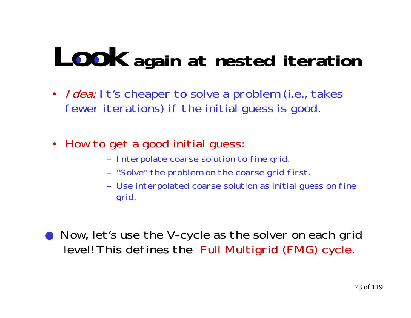# **Look again at nested iteration**

- *I dea:* I t's cheaper to solve a problem (i.e., takes fewer iterations) if the initial guess is good.
- • How to get a good initial guess:
	- Interpolate coarse solution to fine grid.
	- "Solve" the problem on the coarse grid first.
	- Use interpolated coarse solution as initial guess on fine grid.
- ● Now, let's use the V-cycle as the solver on each grid level! This defines the Full Multigrid (FMG) cycle.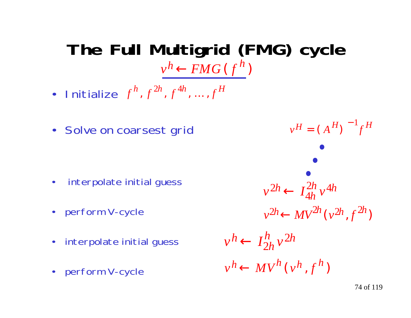### **The Full Multigrid (FMG) cycle**  $v^h$   $\leftarrow$   $FMG$  ( $f^h$ )

- Initialize  $f^h, f^{2h}, f^{4h}, ..., f^H$  $, f^{2h}, f^{4h}, \ldots,$
- Solve on coarsest grid

- $\bullet$ interpolate initial guess
- perform V-cycle
- interpolate initial guess
- $\bullet$ perform V-cycle

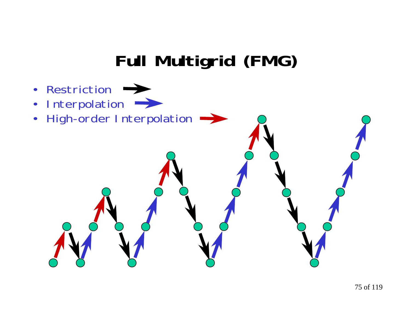### **Full Multigrid (FMG)**

- $\bullet$ Restriction
- •Interpolation
- •High-order Interpolation  $\rightarrow$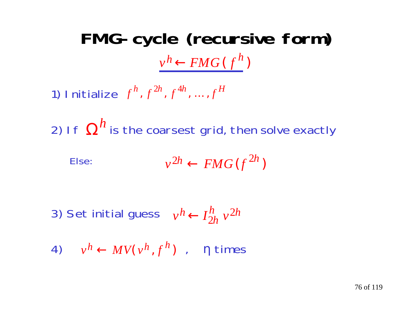# **FMG-cycle (recursive form)**  $v^h$   $\leftarrow$   $FMG$  ( $f^h$ )

1) Initialize  $f^h, f^{2h}, f^{4h}, ..., f^H$  $, f^{2h}, f^{4h}, \ldots,$ 

2) If  $\Omega''$  is the coarsest grid, then solve exactly *h*

$$
v^{2h} \leftarrow FMG(f^{2h})
$$

3) Set initial guess  $v^h \leftarrow I_{2h}^h v$ *h h h* $h \leftarrow$  $\frac{h}{2h}$   $v^2$ 

4)  $v^h \leftarrow MV(v^h, f^h)$  ,  $\eta$  times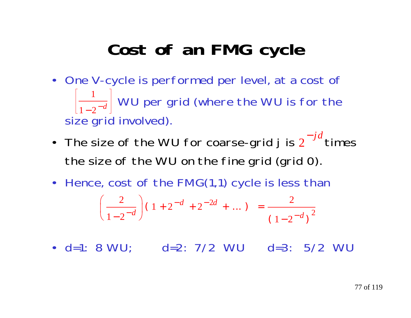### **Cost of an FMG cycle**

- One V-cycle is performed per level, at a cost of  $\left|\frac{1}{1-2\pi i}\right|$  WU per grid (where the WU is for the size grid involved).  $1 - 2$ 1 − − *d*
- The size of the WU for coarse-grid j is  $2^{-J^{\alpha}}$  times the size of the WU on the fine grid (grid 0). − *j d*
- Hence, cost of the FMG(1,1) cycle is less than  $(1-2^{-u})$  $(1+2^{-a}+2^{-2a}+...)=$  $\bigg)$  $\mathcal{L}^{\text{max}}_{\text{max}}$  $-2^{-d}$ )  $\bigg($  $\overline{\phantom{a}}$  $\left(1-2^{-d}\right)$  (1-2)  $\left(\frac{2}{1-2^{-d}}\right)(1+2^{-d}+2^{-2d}+...)=\frac{2}{(1-2)^{2}}$ 2 −  $-$ u $-$ −*d* ) (1 o −*d*  $d \sqrt{a^2-2d}$ *d*  $\vert$ <sup>2</sup>
2 2
- d=1: 8 WU; d=2: 7/2 WU d=3: 5/2 WU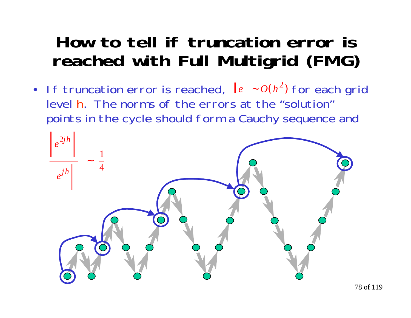### **How to tell if truncation error is reached with Full Multigrid (FMG)**

• If truncation error is reached, ∥e∥∼ $O(h^2)$  for each grid level h. The norms of the errors at the "solution" points in the cycle should form a Cauchy sequence and

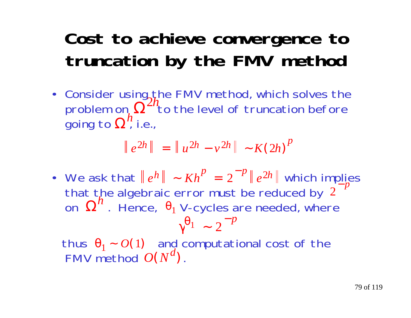### **Cost to achieve convergence to truncation by the FMV method**

• Consider using the FMV method, which solves the problem on,  $\Omega^{-1}$  to the level of truncation before going to  $\Omega^{\prime\prime}$  i.e.,  $\boldsymbol{\Omega}$ 2*h*  $\boldsymbol{\Omega}$ *h*

$$
\|e^{2h}\| = \|u^{2h} - v^{2h}\| - K(2h)^p
$$

• We ask that  $\|e^h\| \sim Kh^P = 2^{-P} \|e^{2h}\|$  which implies that the algebraic error must be reduced by on  $\,\mathbf{\Omega}^n$  . Hence,  $\,\theta_1$  V-cycles are needed, where  $h$  || ~  $Kh^P = 2^{-P}$  ||  $e^{2h}$  $^{-p}$ <sub>2</sub> 2 − *p*  $\boldsymbol{\Omega}$  $h$ <sup>2</sup>. Hence,  $θ$ <sub>1</sub>  $\gamma^{\Theta_1}$  ~  $1 - 2^{-}$ *p*

thus  $\theta_1 \sim O(1)$  and computational cost of the FMV method  $\mathit{O}(\mathit{N}^{u})$  .  $\theta_1 \sim O(1)$  $O(N^u)$ *d*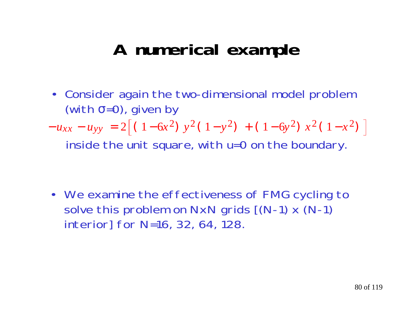### **A numerical example**

• Consider again the two-dimensional model problem (with  $\sigma$ =0), given by

 inside the unit square, with u=0 on the boundary.  $-u_{xx}$  $-u_{yy} = 2|(1-6x^2)y^2(1-y^2) + (1-6y^2)x^2(1-x^2)$ 

• We examine the effectiveness of FMG cycling to solve this problem on  $NxN$  grids  $[(N-1) \times (N-1)]$ interior] for N=16, 32, 64, 128.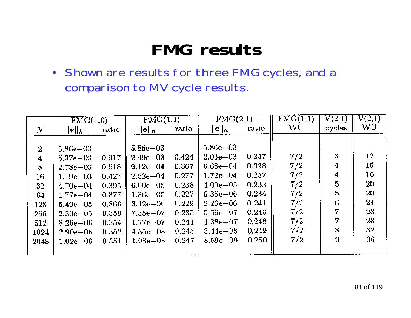### **FMG results**

• Shown are results for three FMG cycles, and a comparison to MV cycle results.

|                | FMG(1,0)        |       | $\overline{\mathrm{FMG}(1,1)}$ |       | $\overline{\mathrm{FMG}(2,1)}$ |       | $\overline{\text{FMG}}(1,1)$ | ${\rm V}(2,1)$ | V(2,1) |
|----------------|-----------------|-------|--------------------------------|-------|--------------------------------|-------|------------------------------|----------------|--------|
| N              | $\ {\bf e}\ _h$ | ratio | $\ \mathbf{e}\ _h$             | ratio | ∥e∥ <sub>Խ</sub>               | ratio | WU                           | cycles         | wu     |
|                |                 |       |                                |       |                                |       |                              |                |        |
| $\overline{2}$ | $5.86 - 03$     |       | $5.86e - 03$                   |       | $5.86e{-03}$                   |       |                              |                |        |
| 4              | $5.37e - 03$    | 0.917 | $2.49e - 03$                   | 0.424 | $2.03e - 03$                   | 0.347 | 7/2                          | 3              | 12     |
| 8              | $2.78e - 03$    | 0.518 | $9.12e - 04$                   | 0.367 | $6.68e - 04$                   | 0.328 | 7/2                          | 4              | 16     |
| 16             | $1.19e - 03$    | 0.427 | $2.52e - 04$                   | 0.277 | $1.72e - 04$                   | 0.257 | 7/2                          | 4              | 16     |
| 32             | $4.70e - 04$    | 0.395 | $6.00e - 0.5$                  | 0.238 | $4.00e - 05$                   | 0.233 | 7/2                          | 5              | 20     |
| 64             | $1.77e - 04$    | 0.377 | $1.36e - 05$                   | 0.227 | $9.36e{-06}$                   | 0.234 | 7/2                          | 5              | 20.    |
| 128            | $6.49e - 05$    | 0.366 | $3.12e - 06$                   | 0.229 | $2.26e{-06}$                   | 0.241 | 7/2                          | 6              | 24     |
| 256            | $2.33e - 05$    | 0.359 | $7.35e - 07$                   | 0.235 | $5.56e - 07$                   | 0.246 | 7/2                          | 7              | 28     |
| 512            | $8.26 - 06$     | 0.354 | $1.77e{-}07$                   | 0.241 | $1.38e{-}07$                   | 0.248 | 7/2                          | 7              | 28     |
| 1024           | $2.90e - 06$    | 0.352 | $4.35c - 08$                   | 0.245 | $3.44e - 08$                   | 0.249 | 7/2                          | 8              | 32     |
| 2048           | $1.02e{-06}$    | 0.351 | $1.08e - 08$                   | 0.247 | $8.59e - 0.9$                  | 0.250 | 7/2                          | 9              | 36     |
|                |                 |       |                                |       |                                |       |                              |                |        |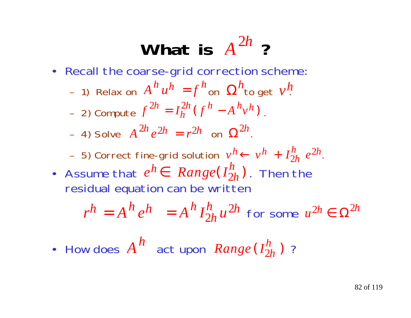# What is  $A^{2h}$  ?

- Recall the coarse-grid correction scheme:
	- –1) Relax on  $A^h u^h = f^h$ on  $\Omega^h$ to get  $v^h$
	- –2) Compute  $f^{2h} = I_h^{2h} (f^h - A^h v^h)$ .
	- $-$  4) Solve  $A^{2h}e^{2h} = r^{2h}$  on  $\Omega^{2h}$ .
	- –5) Correct fine-grid solution  $v^h \leftarrow v^h + I_{2h}^h e^{2h}$ .
- **•** Assume that  $e^h \in \textit{Range}(I^h_{2h})$ . Then the residual equation can be written

$$
r^h = A^h e^h = A^h I_{2h}^h u^{2h}
$$
 for some  $u^{2h} \in \Omega^{2h}$ 

• How does  $A^{\,h}\,$  act upon  $\,Range\, (I^h_{2h})\,$  ?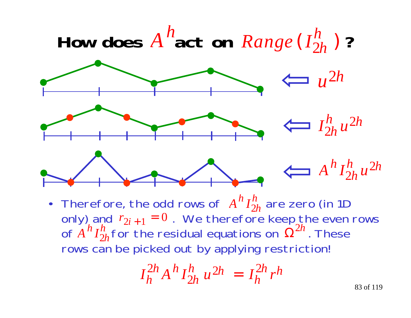

• Therefore, the odd rows of  $A'' I''_{2h}$  are zero (in 1D) only) and  $r_{2i+1}=0$  . We therefore keep the even rows of  $A''I''_{2h}$  for the residual equations on  $\Omega^{2n}$  . These rows can be picked out by applying restriction!  $r_{2i+1}$  $=0$ *A I h h* $h$   $I_2^h$ *h h* $h$   $I_2^h$  $\boldsymbol{\Omega}$ 2*h*

$$
I_h^{2h} A^h I_{2h}^h u^{2h} = I_h^{2h} r^h
$$

83 of 119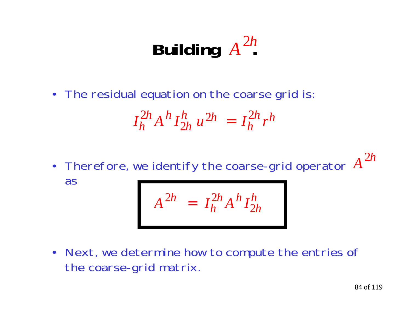### **Building**  $A^{2n}$ *<sup>A</sup>*2*<sup>h</sup>*

• The residual equation on the coarse grid is:

$$
I_h^{2h} A^h I_{2h}^h u^{2h} = I_h^{2h} r^h
$$

• Therefore, we identify the coarse-grid operator as *<sup>A</sup>*2*<sup>h</sup>*

$$
A^{2h} = I_h^{2h} A^h I_{2h}^h
$$

• Next, we determine how to compute the entries of the coarse-grid matrix.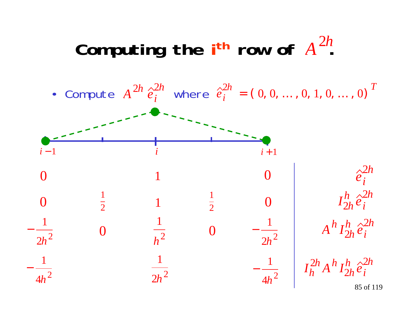### Computing the  $i$ <sup>th</sup> row of  $A^{2n}$ *<sup>A</sup>*2*<sup>h</sup>*

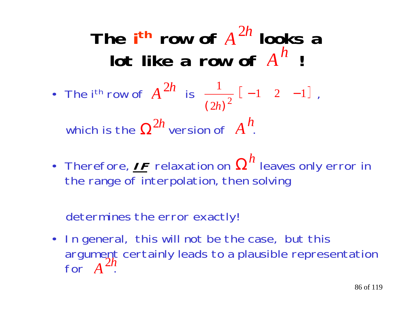## The i<sup>th</sup> row of  $A^{2h}$  looks a  $\mathsf{lot}$  like a row of  $A^h$  !

- The i<sup>th</sup> row of  $A^{2h}$  is  $\frac{1}{2}$  [-1 2 -1], which is the  $\Omega^{2h}$  version of  $A^h$ . 2 1  $\sqrt{(2h)^2}$
- Therefore,  $I\digamma$  relaxation on  $\Omega^h$  leaves only error in the range of interpolation, then solving

determines the error exactly!

• In general, this will not be the case, but this argument certainly leads to a plausible representation for  $A^{2h}$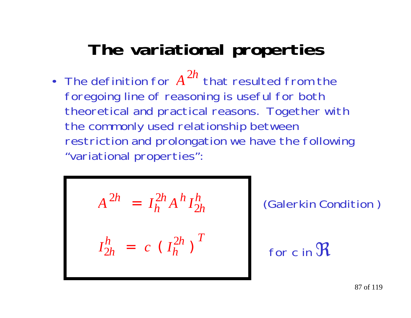### **The variational properties**

• The definition for  $A^{2n}$  that resulted from the foregoing line of reasoning is useful for both theoretical and practical reasons. Together with the commonly used relationship between restriction and prolongation we have the following "variational properties": 2*h*

$$
A^{2h} = I_h^{2h} A^h I_{2h}^h
$$

$$
I_{2h}^h = c (I_h^{2h})^T
$$

(Galerkin Condition )

for c in 
$$
\mathfrak{R}
$$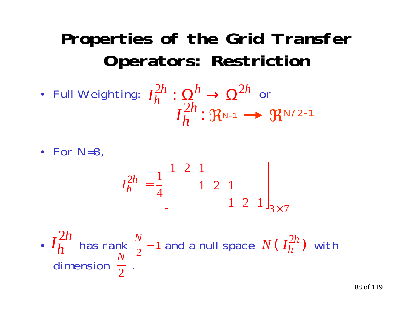### **Properties of the Grid Transfer Operators: Restriction**

• Full Weighting:  $I^{\mathcal{Z}n}_h:\Omega^n\rightarrow \Omega^{\mathcal{Z}n}$  or  $\mathfrak{R}$ n-1  $\longrightarrow$   $\mathfrak{R}$ N/2-1 *I*  $\frac{2h}{h}$  :  $\Omega_h^h \to \Omega^{2h}$  $2h \cdot \Omega^h \cdot \Omega^2$  $: \, \Omega^{\prime \prime} \rightarrow \Omega$ *I h h*2:

• For N=8,

$$
I_h^{2h} = \frac{1}{4} \begin{bmatrix} 1 & 2 & 1 & & & \\ & & 1 & 2 & 1 & \\ & & & 1 & 2 & 1 \end{bmatrix}_{3 \times 7}
$$

•  $I_h$  has rank  $\frac{N}{2}$  – 1 and a null space  $N(I_h^{2n})$  with dimension  $\frac{1}{2}$  .  $\frac{N}{2}$  – 1  $I_{\scriptscriptstyle L}^{\scriptscriptstyle\! LIL}$  has rank  $\stackrel{\scriptscriptstyle N}{\scriptscriptstyle\sim}$  *h h*  $\frac{2h}{h}$  has rank  $\frac{N}{2}$  – 1 and a null space  $N( I_h^{2h})$ *h h* 2 *N* 2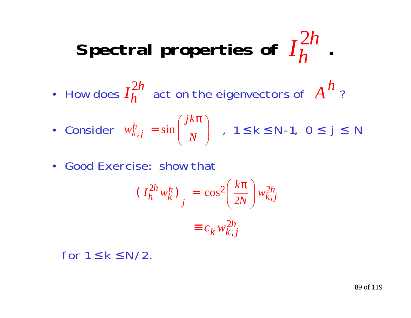#### Spectral properties of  $I_h^{2n}$ . *h h*2

• How does  $I_h^{2n}$  act on the eigenvectors of  $A^n$  ? *h h* $2h$  act on the eigenvectors of  $\overline{A}$ *h*

• Consider 
$$
w_{k,j}^h = \sin\left(\frac{jk\pi}{N}\right)
$$
,  $1 \le k \le N-1$ ,  $0 \le j \le N$ 

• Good Exercise: show that

$$
(I_h^{2h} w_k^h)_{j} = \cos^2 \left(\frac{k\pi}{2N}\right) w_{k,j}^{2h}
$$

$$
\equiv c_k w_{k,j}^{2h}
$$

for  $1 \leq k \leq N/2$ .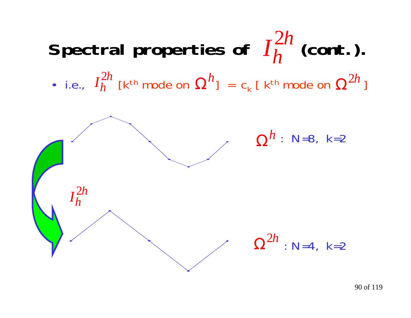#### Spectral properties of  $I_h^{2n}$  (cont.). • i.e.,  $I_h^{2n}$  [k<sup>th</sup> mode on  $\Omega^n$ ] = c<sub>k</sub> [ k<sup>th</sup> mode on  $\Omega^{2n}$  ] *h h* 2 *h h*  $_h^{2h}$  [k<sup>th</sup> mode on  $\Omega$  $h_{\rm l}$   $\,$   $\,$   $\,$   $\,$   $\rm c_{\rm k}$  [  $\,$  k<sup>th</sup> mode on  $\,$   $\Omega$ 2*h*



90 of 119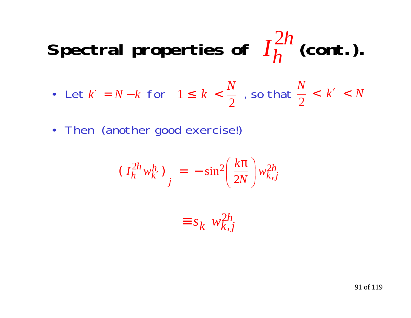#### Spectral properties of  $I_h^{2n}$  (cont.). *h h*2

- Let  $k' = N-k$  for  $1 \leq k < \frac{1}{2}$ , so that ′ $\lambda' = N - k$  for  $1 \leq k < \frac{1}{n}$ , so that  $\frac{1}{n} < k' < N$ *N* 2 $\lt$ ′ $\frac{1}{2}$  , so that  $\frac{1}{2} < k' <$  $1 \leq k <$  $k < \frac{N}{\epsilon}$
- Then (another good exercise!)

$$
\left(I_h^{2h} w_{k'}^h\right)_j = -\sin^2\left(\frac{k\pi}{2N}\right) w_{k,j}^{2h}
$$

$$
\equiv s_k \ w_{k,j}^{2h}
$$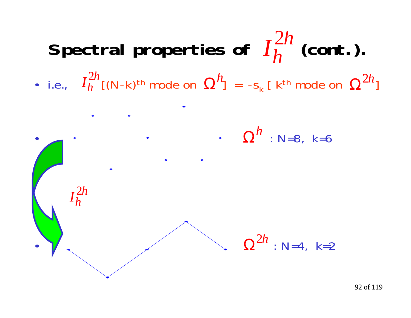

92 of 119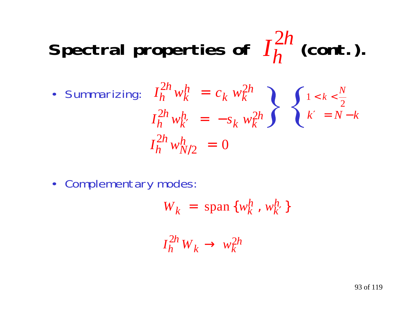#### Spectral properties of  $I_h^{2n}$  (cont.). *h h* 2

$$
\begin{aligned}\n\text{Summarizing:} \quad I_h^{2h} w_k^h &= c_k w_k^{2h} \\
I_h^{2h} w_k^h &= -s_k w_k^{2h}\n\end{aligned}\n\quad\n\left\{\n\begin{aligned}\n1 < k < \frac{N}{2} \\
k' &= N - k\n\end{aligned}\n\right.
$$
\n
$$
I_h^{2h} w_{N/2}^h = 0
$$

• Complementary modes:

$$
W_k = \text{span}\,\{w_k^h\,,\,w_{k'}^h\}
$$

$$
I_h^{2h} W_k \to w_k^{2h}
$$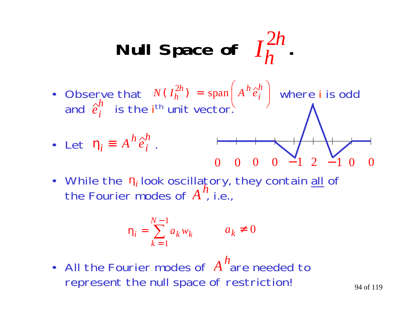Null Space of 
$$
I_h^{2h}
$$
.

• Observe that  $N(I_h^{2n}) = \text{span} | A^n \hat{e}_i^* |$  where i is odd and  $\hat{e}^\prime_\cdot$  is the i<sup>th</sup> unit vector.  $N(I_h^{2n}) = \text{span} | A^n e$  $\bigg)$  $\int$  $\bigg($  $\setminus$  $(I_h^{2n}) =$  $\binom{2h}{h}$  = span  $\left(A^h \frac{\partial h}{\partial x}\right)$  $\binom{2h}{h}$  = span *e h i*

• Let 
$$
\eta_i \equiv A^h \hat{e}_i^h
$$
.

$$
\begin{array}{c}\n\text{tor.} \\
\begin{array}{c}\n\end{array} \\
\begin{array}{c}\n\end{array} \\
\begin{array}{c}\n\end{array} \\
\begin{array}{c}\n\end{array} \\
\begin{array}{c}\n\end{array} \\
\begin{array}{c}\n\end{array} \\
\begin{array}{c}\n\end{array} \\
\begin{array}{c}\n\end{array} \\
\begin{array}{c}\n\end{array} \\
\begin{array}{c}\n\end{array} \\
\begin{array}{c}\n\end{array} \\
\begin{array}{c}\n\end{array} \\
\begin{array}{c}\n\end{array} \\
\begin{array}{c}\n\end{array} \\
\begin{array}{c}\n\end{array} \\
\begin{array}{c}\n\end{array} \\
\begin{array}{c}\n\end{array} \\
\begin{array}{c}\n\end{array} \\
\begin{array}{c}\n\end{array} \\
\begin{array}{c}\n\end{array} \\
\begin{array}{c}\n\end{array} \\
\begin{array}{c}\n\end{array} \\
\begin{array}{c}\n\end{array} \\
\begin{array}{c}\n\end{array} \\
\begin{array}{c}\n\end{array} \\
\begin{array}{c}\n\end{array} \\
\begin{array}{c}\n\end{array} \\
\begin{array}{c}\n\end{array} \\
\begin{array}{c}\n\end{array} \\
\begin{array}{c}\n\end{array} \\
\begin{array}{c}\n\end{array} \\
\begin{array}{c}\n\end{array} \\
\begin{array}{c}\n\end{array} \\
\begin{array}{c}\n\end{array} \\
\begin{array}{c}\n\end{array} \\
\begin{array}{c}\n\end{array} \\
\begin{array}{c}\n\end{array} \\
\begin{array}{c}\n\end{array} \\
\begin{array}{c}\n\end{array} \\
\begin{array}{c}\n\end{array} \\
\begin{array}{c}\n\end{array} \\
\begin{array}{c}\n\end{array} \\
\begin{array}{c}\n\end{array} \\
\begin{array}{c}\n\end{array} \\
\begin{array}{c}\n\end{array} \\
\begin{array}{c}\n\end{array} \\
\begin{array}{c}\n\end{array} \\
\begin{array}{c}\n\end{array} \\
\begin{array}{c}\n\end{array} \\
\begin{array}{c}\n\end{array} \\
\begin{array}{c}\n\end{array} \\
\begin{array}{c}\n\end{array} \\
\begin{array}{c}\n\end{array} \\
\begin{
$$

• While the  $\eta_i$  look oscillatory, they contain <u>all</u> of the Fourier modes of  $A^{\prime\prime}$ , i.e., *h*  $\boldsymbol{\eta}_{\boldsymbol{i}}$ 

$$
\eta_i = \sum_{k=1}^{N-1} a_k w_k \qquad a_k \neq 0
$$

• All the Fourier modes of A"are needed to represent the null space of restriction! *h*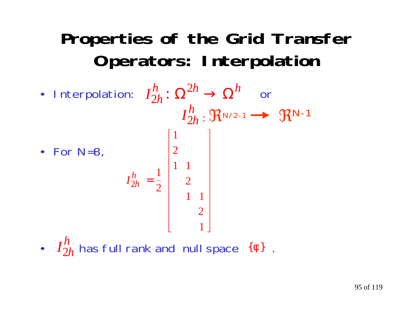### **Properties of the Grid Transfer Operators: Interpolation**

• Interpolation:  $I_{2h}^n\colon \Omega^{2h}\to \Omega^n$  or  $I_{2h}^{\prime\prime}$ :  $\mathfrak{R}_{N/2-1} \longrightarrow \mathfrak{R}_{N-1}$ • For N=8, *h h I*  $\frac{h}{2h}$  :  $\Omega^2$  $\frac{h}{2h}\colon \Omega^{2h} \to \Omega^h$ *I* 2 *h h* = 12 1 1 2 1 1 2 1 2 1

•  $I_{2h}^n$  has full rank and null space  $\{ \phi \}$  .  $\frac{h}{2h}$  has full rank and null space  $\{ \phi \}$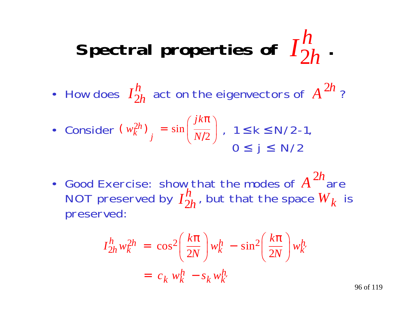#### Spectral properties of  $I_{2h}^{\prime\prime}$ . 2*h h*

• How does  $I_{2h}^{\prime\prime}$  act on the eigenvectors of  $A^{2\prime\prime}$  ? *h hA* 2*h*

• Consider 
$$
(w_k^{2h})_j = \sin\left(\frac{jk\pi}{N/2}\right)
$$
,  $1 \le k \le N/2-1$ ,  
  $0 \le j \le N/2$ 

• Good Exercise: show that the modes of  $A^{2n}$ are NOT preserved by  $I_{2h}'^{\prime}$  , but that the space  ${W}_{k}$  is preserved: 2*h h hW k*

$$
I_{2h}^h w_k^{2h} = \cos^2\left(\frac{k\pi}{2N}\right) w_k^h - \sin^2\left(\frac{k\pi}{2N}\right) w_k^h
$$
  
=  $c_k w_k^h - s_k w_k^h$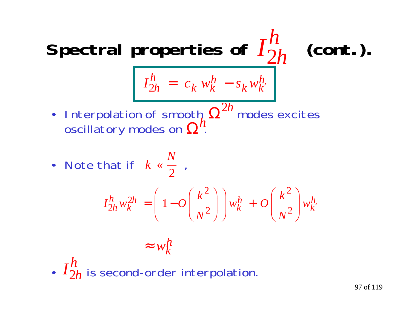#### Spectral properties of  $I_{2h}^{\prime\prime}$  (cont.). 2*h h*

$$
I_{2h}^h = c_k w_k^h - s_k w_{k'}^h
$$

• Interpolation of smooth  $\Omega^{2n}$  modes excites oscillatory modes on  $\Omega^n$ .  $\frac{\Delta}{\Omega}h$   $\Omega$ 2*hh*

• Note that if  $k \leq \frac{1}{2}$ ,  $k \; \lessdot \frac{N}{2}$ «

$$
I_{2h}^h w_k^{2h} = \left(1 - O\left(\frac{k^2}{N^2}\right)\right) w_k^h + O\left(\frac{k^2}{N^2}\right) w_k^h
$$

$$
\approx w_k^h
$$

•  $I_{2h}^{\prime\prime}$  is second-order interpolation. 2*h h*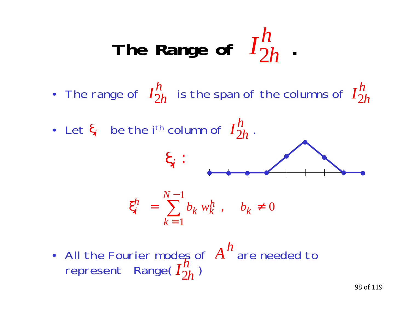The Range of 
$$
I_{2h}^h
$$
.

• The range of  $\ I_{2h}^n\;$  is the span of the columns of *h hI* 2*h h*

• Let  $\xi_i$  be the i<sup>th</sup> column of  $I_{2h}^n$  . *h h*



• All the Fourier modes of  $A^{\cdot\cdot}$  are needed to represent Range(  $I_{2h}^{\prime\prime}$  ) *h h A h*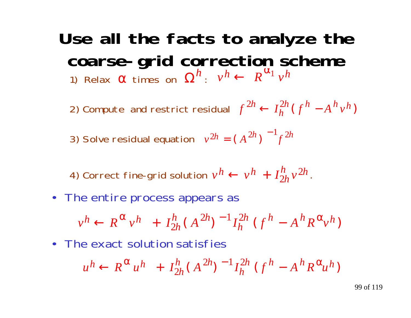### **Use all the facts to analyze the coarse-grid correction scheme**

1) Relax  $\alpha$  times on  $\Omega^n$  :  $h_n$  *v v k k R*<sup> $\alpha_1$ **<sub>***v***</sub></sup>**  $h \leftarrow$ *h*  $\alpha$  times on  $\Omega^h$ :  $v^h \leftarrow R^{\alpha_1}$ 

2) Compute and restrict residual  $f^{2n} \leftarrow I_h^{2n} (f^n - A^n v)$  $2h \leftarrow I_h^{2h} (f^h - A^h v^h)$  $h \leftarrow I_h^{2h}$  (  $-A^{\prime\prime}v^{\prime\prime}$ 

3) Solve residual equation  $v^{2h} = (A^{2h})^{-1} f^{2h}$ 

4) Correct fine-grid solution  $v^n \leftarrow v^n + I_{2h}'^n v^{2h}$ . *h h h* $h \leftarrow v^h +$  $\frac{h}{2h}v^2$ 

• The entire process appears as

$$
v^h \leftarrow R^{\alpha} v^h + I_{2h}^h (A^{2h})^{-1} I_h^{2h} (f^h - A^h R^{\alpha} v^h)
$$

• The exact solution satisfies

$$
u^{h} \leftarrow R^{\alpha} u^{h} + I_{2h}^{h} (A^{2h})^{-1} I_{h}^{2h} (f^{h} - A^{h} R^{\alpha} u^{h})
$$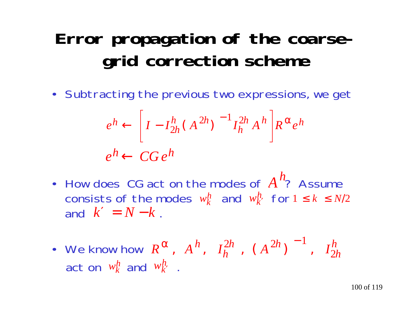### **Error propagation of the coarsegrid correction scheme**

• Subtracting the previous two expressions, we get

$$
e^{h} \leftarrow \left[I - I_{2h}^{h} (A^{2h})^{-1} I_{h}^{2h} A^{h}\right] R^{\alpha} e^{h}
$$
  

$$
e^{h} \leftarrow CG e^{h}
$$

- How does CG act on the modes of  $A''$ ? Assume consists of the modes  $w_k^h$  and  $w_{k'}^h$  for and  $k'=N\!-\!k$  . *h*  $w_k^h$  and  $w_{k'}^h$  for  $1 \leq k \leq N/2$ =*N*−*k*
- We know how  $R^{\alpha}$ ,  $A^{n}$ ,  $I_{h}^{\geq n}$ ,  $(A^{\geq n})$  ,  $I$ act on  $w_k^n$  and  $w_{k'}^n$  . α  $\,,\;\; A^{\,h}\,,\;\;I_{h}^{\,2h}\,\;,\;\;(\;A^{\,2h})^{\,-\,1}\,,\;\;I_{2h}^{h}$  $\frac{2h}{h}$  , (A<sup>2h</sup>  $h \,, \quad I_h^{2h} \,\,, \;\;$  (  $A^{2h}$  )  $^{-1} \,\,, \;\; I_2^h$ 2h  $\left( \frac{2h}{\lambda} \right)^{-1}$  $h \over k$  and  $w$ *h k*′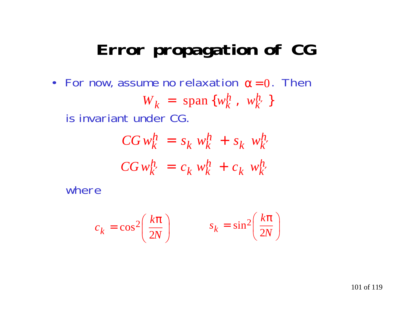### **Error propagation of CG**

• For now, assume no relaxation  $\alpha\!=\!0$ . Then is invariant under CG.  $W_k$  = span  $\{w_k^n, w_k^n\}$ *h k*  $\lambda_k$  = span { $w_k^h$  $=$  span { $w_k^n$ ,  $w_{k'}^n$  }

$$
CGw_k^h = s_k w_k^h + s_k w_{k'}^h
$$
  

$$
CGw_{k'}^h = c_k w_k^h + c_k w_{k'}^h
$$

where

$$
c_k = \cos^2\left(\frac{k\pi}{2N}\right) \qquad s_k = \sin^2\left(\frac{k\pi}{2N}\right)
$$

101 of 119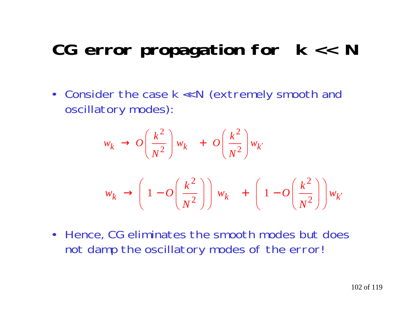### **CG error propagation for k << N**

• Consider the case k << N (extremely smooth and oscillatory modes):

$$
w_k \to O\left(\frac{k^2}{N^2}\right) w_k + O\left(\frac{k^2}{N^2}\right) w_{k'}
$$
  

$$
w_k \to \left(1 - O\left(\frac{k^2}{N^2}\right)\right) w_k + \left(1 - O\left(\frac{k^2}{N^2}\right)\right) w_{k'}
$$

• Hence, CG eliminates the smooth modes but does not damp the oscillatory modes of the error!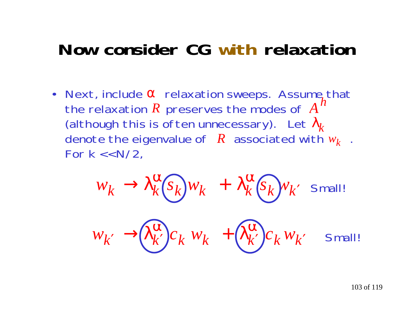### **Now consider CG with relaxation**

• Next, include α relaxation sweeps. Assume that the relaxation  $R$  preserves the modes of  $A$ (although this is often unnecessary). Let  $\lambda_{\!}$ denote the eigenvalue of  $\,R\,$  associated with  $w_k\,$  . For  $k \lt k$  N/2,

$$
w_k \to \lambda_k^{\alpha} (s_k) w_k + \lambda_k^{\alpha} (s_k) w_k' \text{ Small!}
$$
  

$$
w_{k'} \to \lambda_{k'}^{\alpha} (s_k) w_k + \lambda_{k'}^{\alpha} (s_k) w_{k'} \text{Small!}
$$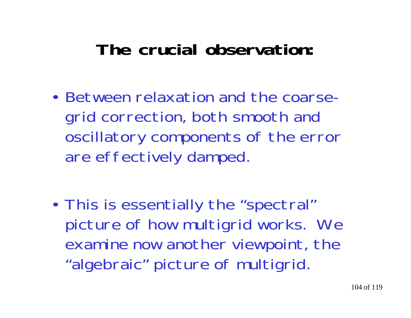### **The crucial observation:**

- Between relaxation and the coarsegrid correction, both smooth and oscillatory components of the error are effectively damped.
- • This is essentially the "spectral" picture of how multigrid works. We examine now another viewpoint, the "algebraic" picture of multigrid.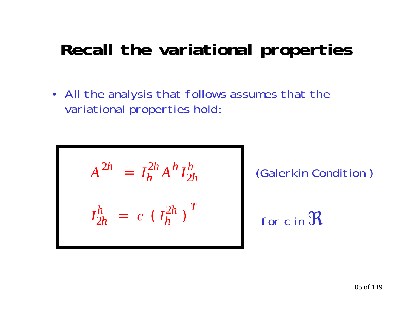### **Recall the variational properties**

• All the analysis that follows assumes that the variational properties hold:

$$
A^{2h} = I_h^{2h} A^h I_{2h}^h
$$

$$
I_{2h}^h = c (I_h^{2h})^T
$$

(Galerkin Condition )

for c in  $\frak{R}$ 

105 of 119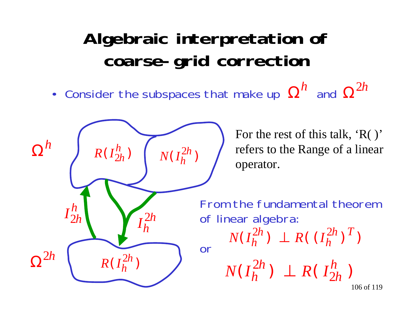### **Algebraic interpretation of coarse-grid correction**

•Consider the subspaces that make up  $\Omega''$  and  $^h$  and  $\Omega$ 2*h*



For the rest of this talk, 'R( )' refers to the Range of a linear

From the fundamental theorem

106 of 119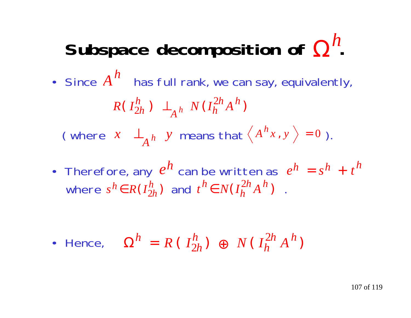### Subspace decomposition of Ω" *h*

- Since  $A''$  has full rank, we can say, equivalently, (where  $x \perp_{A}^b$  y means that  $\langle A''x, y \rangle = 0$ ). *h*  $R(I_{2h}^n) \perp_{A} N(I_h^{2n}A^n)$  $\frac{h}{2h}$ )  $\perp$ <sub>A</sub> h N(I<sub>h</sub><sup>2</sup>)  $A^h$ <sup>N</sup> $(I_h^{2h}A^h$  $\frac{h}{2h}$ )  $\perp$ <sub>1</sub><sup>h</sup> *Ah A x y*  ${h}_{\mathcal{X}\, ,\,\,\mathrm{y}\,}\,\,\rangle\, =0$
- Therefore, any  $e^{\prime\prime}$  can be written as where  $s^h \in R(I_{2h}^n)$  and  $t^n \in N(I_h^{2n}A^n)$ .  $h$  can be written as  $e^{h} = s^{h} + t^{h}$  $h = s^h + t^h$ *h h* $h \in R(I_{2h}^h)$  and  $t^h \in N(I_h^{2h}A)$ *h h h* $h \in N(I_h^{2h}A^h)$ 2

• Hence,  $\Omega'' = R(T_{2h}^n) \oplus N(T_h^{2n} A^n)$ *h h hh h* $h = R(\begin{array}{cc} I_n^h \end{array}) \oplus N(\begin{array}{cc} I_n^{2h} \end{array} A)$  $\frac{h}{2h}$  )  $\oplus$  N(I $\frac{1}{h}$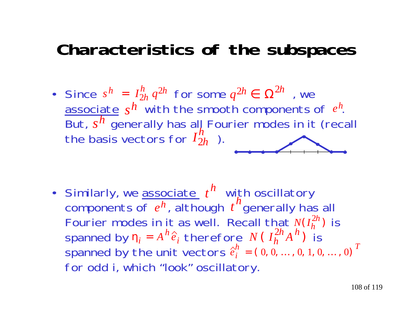### **Characteristics of the subspaces**

• Since  $s^h = I_{2h}^n q^{2h}$  for some  $q^{2h} \in \Omega^{2h}$  , we associate  $s^{\textit{h}}$  with the smooth components of  $\emph{e}^{\emph{h}}$ . But,  $s^{\prime\prime}$  generally has all Fourier modes in it (recall the basis vectors for  $I_{2h}^{\prime\prime}$  ). *h h hh* =  $\frac{h}{2h}$   $q^{2h}$  for some  $q$  $2h \in \Omega^{2h}$ *s*  $h$  with the smooth components of  $e^{h}$ *s h I* 2 *h h*

• Similarly, we <u>associate</u>  $t^n$  with oscillatory components of  $\,e^{h}$ , although  $\,t\,$  "generally has all Fourier modes in it as well. Recall that  $N(I_h^{2h})$  is spanned by  $\eta_i = A'' \hat{e}_i$  therefore  $N(\hat{I}_{h}^{2n} A^n)$  is spanned by the unit vectors for odd i, which "look" oscillatory. *h h t h* 2  $\eta_i = A^h \hat{e}_i$  therefore  $N(\hat{I}_h^{2h} A^h)$ *h h h* 2 *e*  $\frac{h}{i}$  = (0, 0, ... , 0, 1, 0, ... , 0)<sup>T</sup>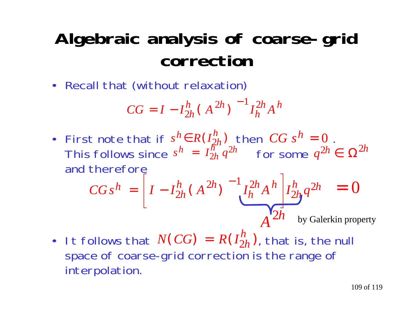## **Algebraic analysis of coarse-grid correction**

• Recall that (without relaxation)

$$
CG = I - I_{2h}^{h} (A^{2h})^{-1} I_{h}^{2h} A^{h}
$$

• First note that if  $s^n \in R(I_{2h}^n)$  then  $CG$   $s^n = 0$ . This follows since  $s^n = I_{2h}^n q^{2n}$  for some and therefore  $s^h \in R(I^h_{2h})$  then  $CG$   $s^h=0$  $s^h = I_{2h}^{\overline{h}^n} q^{2h}$  for some  $q^{2h} \in \Omega^{2h}$ 

$$
CGs^h = \left[I - I_{2h}^h(A^{2h})\right]^{-1} I_h^{2h} A^h \left[I_{2h}^h q^{2h}\right] = 0
$$
  
A<sup>2h</sup> by Galerkin property

• It follows that  $\mathit{N}(\mathit{CG}) = \mathit{R(I_{2h}^{h})}$ , that is, the null space of coarse-grid correction is the range of interpolation.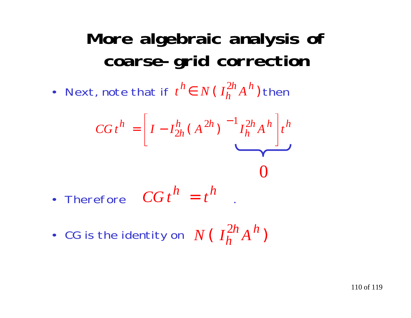## **More algebraic analysis of coarse-grid correction**

• Next, note that if  $t'' \in N$  ( $I_h^{2n} A^n$ ) then *h h h* $h \in N$  ( $I_h^{2h} A^h$ ) 2

$$
CG t^{h} = \left[I - I_{2h}^{h}(A^{2h})^{-1} I_{h}^{2h} A^{h}\right] t^{h}
$$

- Therefore  $CGt'' = t''$  $h$ <sub> $=$  $t$ </sub> $h$
- CG is the identity on  $N$  (  $I_h^{2n}A^n$  ) *h h h*2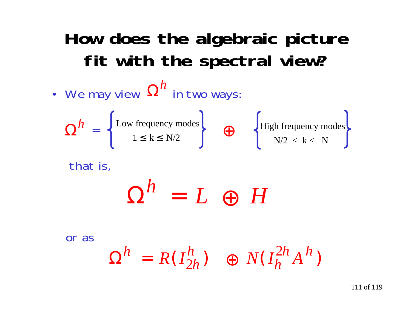## **How does the algebraic picture fit with the spectral view?**

• We may view  $\boldsymbol{\Omega''}$  in two ways:  $\mathbf{L}$  = that is, or as*h* Low frequency modes  $1 \leq k \leq N/2$ High frequency modes  $N/2 < k < N$  $\boldsymbol{\Omega}$  $h = \left\{ \begin{array}{c} \text{Low frequency modes} \\ \text{1} \leq 1 \leq N/2 \end{array} \right\}$  $\boldsymbol{\Omega}$  $=$   $L$   $\oplus$ *h L H*  $\Omega^n = R(I_{2h}^n)$   $\oplus N(I_h^{2n}A^n)$ *h h hh h* $h = R(I_{2k}^h)$   $\oplus N(I_k^{2h}A)$  $\frac{h}{2h}$   $\rightarrow$   $\rightarrow$   $N(I_h^2)$ 

111 of 119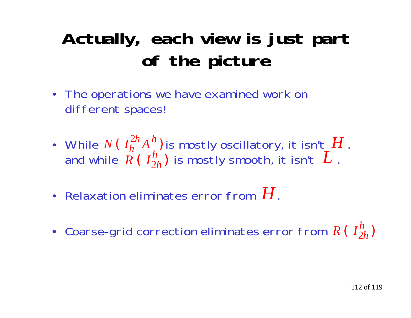# **Actually, each view is just part of the picture**

- The operations we have examined work on different spaces!
- While  $N$  (  $I_{h}^{\mathbb{Z}h}A_{\cdot}^{h}$  ) is mostly oscillatory, it isn't\_ $H$  . and while  $\ R$  (  $I_{2h}^n$  ) is mostly smooth, it isn't  $\ L$  . *h hL*  $\frac{2h}{h}A^h$ 2
- Relaxation eliminates error from  $H$  .
- Coarse-grid correction eliminates error from  $R$  (  $I_{2h}^{\prime\prime})$ *h h*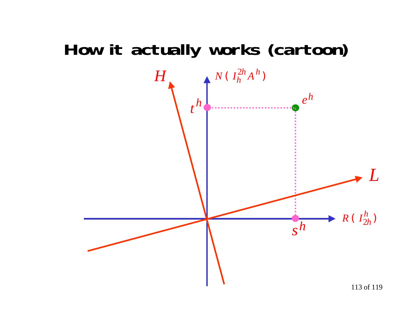### How it actually works (cartoon)

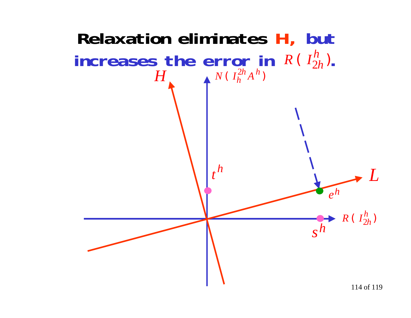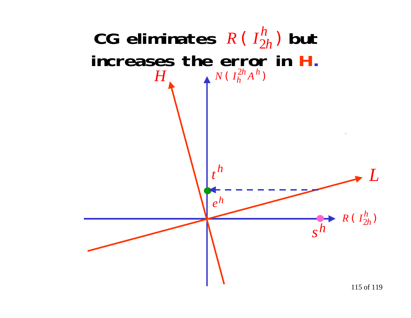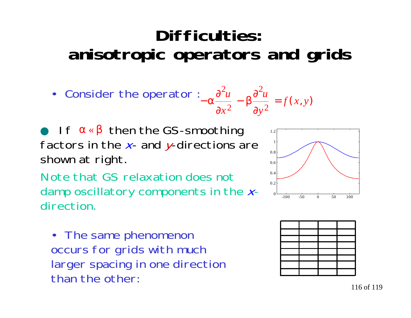### **Difficulties:anisotropic operators and grids**

• Consider the operator : 
$$
-\alpha \frac{\partial^2 u}{\partial x^2} - \beta \frac{\partial^2 u}{\partial y^2} = f(x, y)
$$

 $\bullet$  If  $\alpha \triangleleft \beta$  then the GS-smoothing 1.2 factors in the  $x$ - and  $y$ -directions are shown at right.

Note that GS relaxation does notdamp oscillatory components in the  $x$ direction.

• The same phenomenon occurs for grids with much larger spacing in one direction than the other:



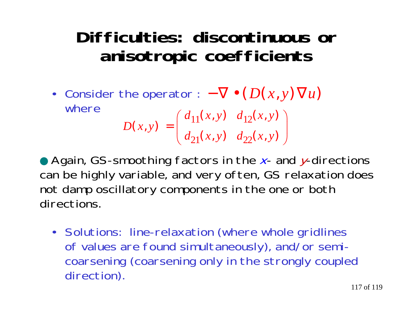#### **Difficulties: discontinuous oranisotropic coefficients**

• Consider the operator : where− $-\nabla\bullet(D(x,y)\nabla u)$  $d_{21}(x, y)$   $d_{22}(x, y)$  $d_{11}(x, y)$   $d_{12}(x, y)$ *D x y*  $\bigg)$  $(x, y) \quad d_{22}(x, y)$  $\begin{pmatrix} d_{11}(x, y) & d_{12}(x, y) \end{pmatrix}$  $\overline{\phantom{a}}$  $(x, y) =$  $11^{(\lambda, y)}$   $412$ 

 $\setminus$ 

● Again, GS-smoothing factors in the x- and y-directions can be highly variable, and very often, GS relaxation does not damp oscillatory components in the one or both directions.

21 $(x, y)$   $u_{22}$ 

• Solutions: line-relaxation (where whole gridlines of values are found simultaneously), and/or semicoarsening (coarsening only in the strongly coupled direction).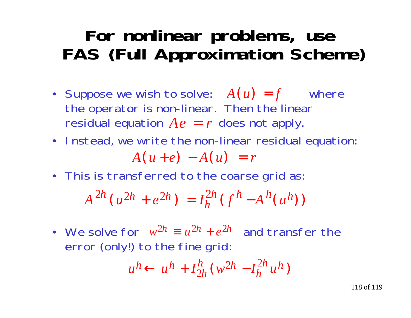### **For nonlinear problems, use FAS (Full Approximation Scheme)**

- Suppose we wish to solve:  $A(u) = f$  where the operator is non-linear. Then the linear residual equation  $A e = r$  does not apply.
- Instead, we write the non-linear residual equation:

$$
A(u+e) - A(u) = r
$$

• This is transferred to the coarse grid as:

$$
A^{2h}(u^{2h} + e^{2h}) = I_h^{2h}(f^h - A^h(u^h))
$$

• We solve for  $w^{2h} \equiv u^{2h} + e^{2h}$  and transfer the error (only!) to the fine grid:  $2h \equiv u^2h + e^{2h}$ 

$$
u^h \leftarrow u^h + I_{2h}^h (w^{2h} - I_h^{2h} u^h)
$$